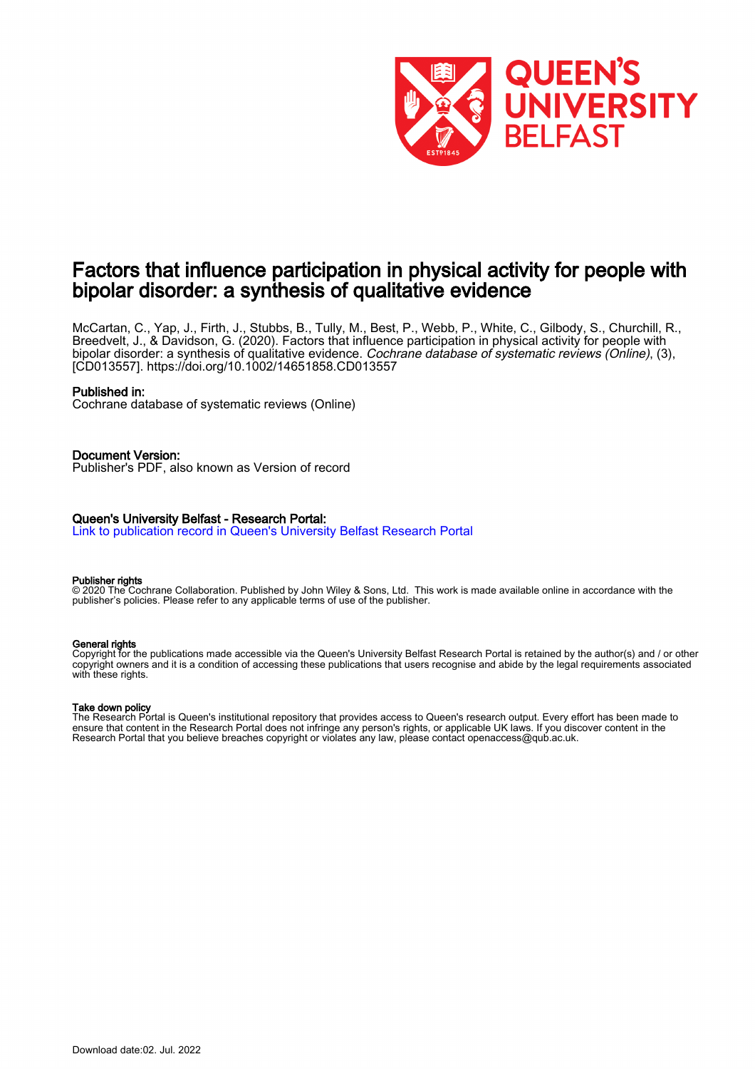

# Factors that influence participation in physical activity for people with bipolar disorder: a synthesis of qualitative evidence

McCartan, C., Yap, J., Firth, J., Stubbs, B., Tully, M., Best, P., Webb, P., White, C., Gilbody, S., Churchill, R., Breedvelt, J., & Davidson, G. (2020). Factors that influence participation in physical activity for people with bipolar disorder: a synthesis of qualitative evidence. Cochrane database of systematic reviews (Online), (3), [CD013557]. <https://doi.org/10.1002/14651858.CD013557>

# Published in:

Cochrane database of systematic reviews (Online)

Document Version:

Publisher's PDF, also known as Version of record

# Queen's University Belfast - Research Portal:

[Link to publication record in Queen's University Belfast Research Portal](https://pure.qub.ac.uk/en/publications/d1f59ccf-ab4b-40ac-b0ff-194dbfe4a8a1)

#### Publisher rights

© 2020 The Cochrane Collaboration. Published by John Wiley & Sons, Ltd. This work is made available online in accordance with the publisher's policies. Please refer to any applicable terms of use of the publisher.

# General rights

Copyright for the publications made accessible via the Queen's University Belfast Research Portal is retained by the author(s) and / or other copyright owners and it is a condition of accessing these publications that users recognise and abide by the legal requirements associated with these rights.

## Take down policy

The Research Portal is Queen's institutional repository that provides access to Queen's research output. Every effort has been made to ensure that content in the Research Portal does not infringe any person's rights, or applicable UK laws. If you discover content in the Research Portal that you believe breaches copyright or violates any law, please contact openaccess@qub.ac.uk.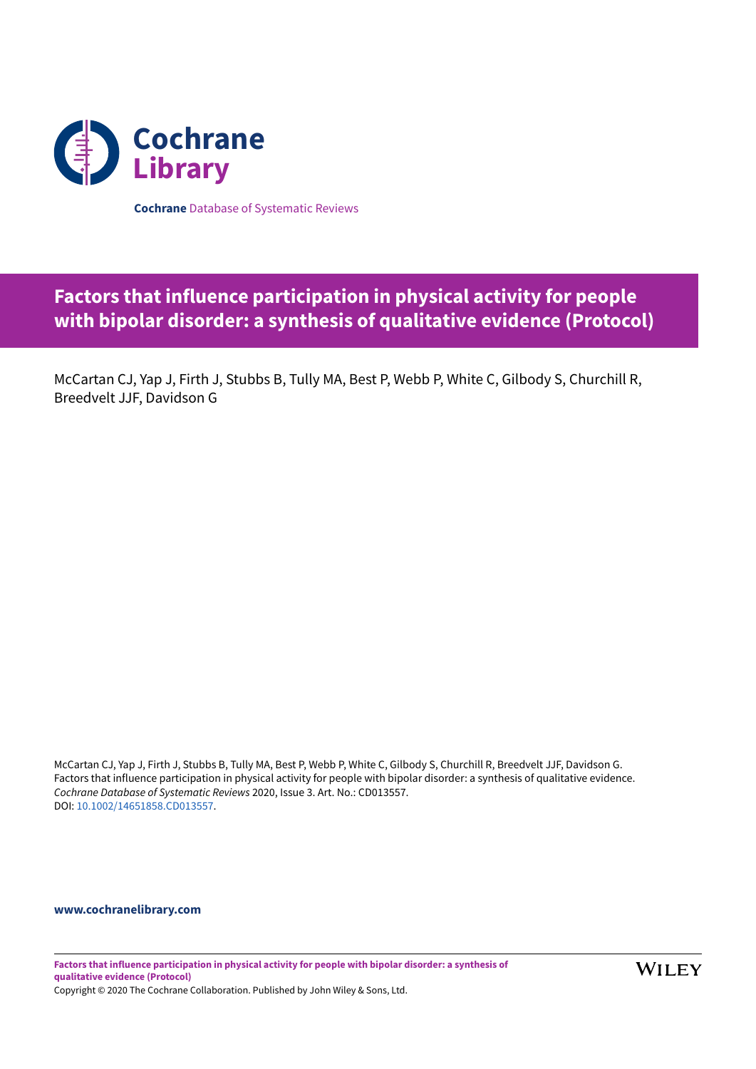

**Cochrane** Database of Systematic Reviews

# **Factors that influence participation in physical activity for people with bipolar disorder: a synthesis of qualitative evidence (Protocol)**

McCartan CJ, Yap J, Firth J, Stubbs B, Tully MA, Best P, Webb P, White C, Gilbody S, Churchill R, Breedvelt JJF, Davidson G

McCartan CJ, Yap J, Firth J, Stubbs B, Tully MA, Best P, Webb P, White C, Gilbody S, Churchill R, Breedvelt JJF, Davidson G. Factors that influence participation in physical activity for people with bipolar disorder: a synthesis of qualitative evidence. *Cochrane Database of Systematic Reviews* 2020, Issue 3. Art. No.: CD013557. DOI: [10.1002/14651858.CD013557](https://doi.org/10.1002%2F14651858.CD013557).

# **[www.cochranelibrary.com](https://www.cochranelibrary.com)**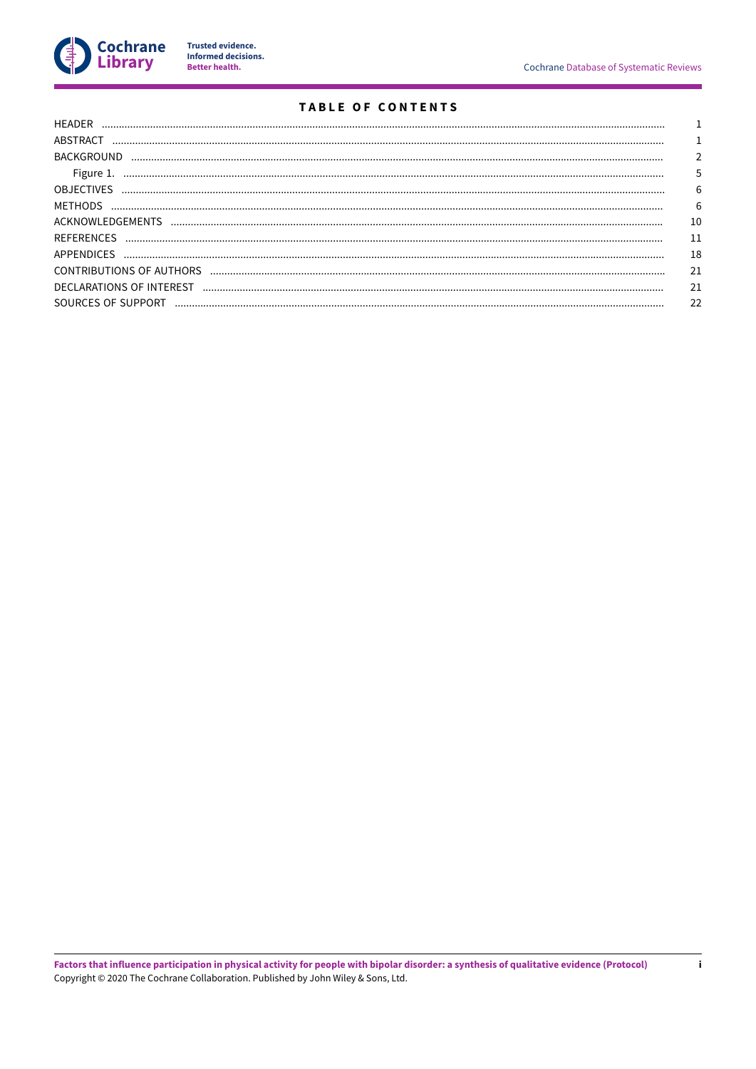

Trusted evidence.<br>Informed decisions.<br>Better health.

# **TABLE OF CONTENTS**

| ABSTRACT           |    |
|--------------------|----|
| BACKGROUND         |    |
| Figure 1.          | 5  |
| <b>OBJECTIVES</b>  | 6  |
| METHODS            | 6  |
|                    | 10 |
|                    | 11 |
|                    | 18 |
|                    | 21 |
|                    | 21 |
| SOURCES OF SUPPORT | 22 |
|                    |    |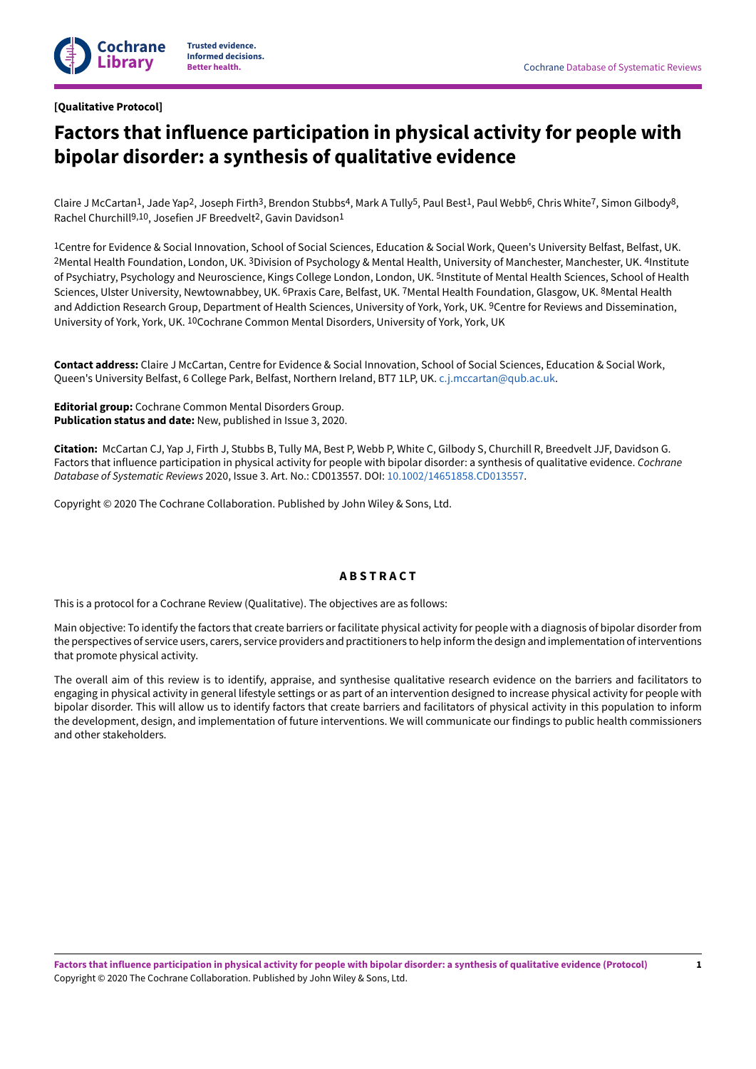# <span id="page-3-0"></span>**[Qualitative Protocol]**

# **Factors that influence participation in physical activity for people with bipolar disorder: a synthesis of qualitative evidence**

Claire J McCartan $^1$ , Jade Yap $^2$ , Joseph Firth $^3$ , Brendon Stubbs $^4$ , Mark A Tully $^5$ , Paul Best $^1$ , Paul Webb $^6$ , Chris White $^7$ , Simon Gilbody $^8$ , Rachel Churchill<sup>9,10</sup>, Josefien JF Breedvelt<sup>2</sup>, Gavin Davidson<sup>1</sup>

1Centre for Evidence & Social Innovation, School of Social Sciences, Education & Social Work, Queen's University Belfast, Belfast, UK. <sup>2</sup>Mental Health Foundation, London, UK. <sup>3</sup>Division of Psychology & Mental Health, University of Manchester, Manchester, UK. <sup>4</sup>Institute of Psychiatry, Psychology and Neuroscience, Kings College London, London, UK. <sup>5</sup>Institute of Mental Health Sciences, School of Health Sciences, Ulster University, Newtownabbey, UK. <sup>6</sup>Praxis Care, Belfast, UK. <sup>7</sup>Mental Health Foundation, Glasgow, UK. <sup>8</sup>Mental Health and Addiction Research Group, Department of Health Sciences, University of York, York, UK. 9Centre for Reviews and Dissemination, University of York, York, UK. <sup>10</sup>Cochrane Common Mental Disorders, University of York, York, UK

**Contact address:** Claire J McCartan, Centre for Evidence & Social Innovation, School of Social Sciences, Education & Social Work, Queen's University Belfast, 6 College Park, Belfast, Northern Ireland, BT7 1LP, UK. [c.j.mccartan@qub.ac.uk](mailto:c.j.mccartan@qub.ac.uk).

**Editorial group:** Cochrane Common Mental Disorders Group. **Publication status and date:** New, published in Issue 3, 2020.

**Citation:** McCartan CJ, Yap J, Firth J, Stubbs B, Tully MA, Best P, Webb P, White C, Gilbody S, Churchill R, Breedvelt JJF, Davidson G. Factors that influence participation in physical activity for people with bipolar disorder: a synthesis of qualitative evidence. *Cochrane Database of Systematic Reviews* 2020, Issue 3. Art. No.: CD013557. DOI: [10.1002/14651858.CD013557.](https://doi.org/10.1002%2F14651858.CD013557)

Copyright © 2020 The Cochrane Collaboration. Published by John Wiley & Sons, Ltd.

# **A B S T R A C T**

<span id="page-3-1"></span>This is a protocol for a Cochrane Review (Qualitative). The objectives are as follows:

Main objective: To identify the factors that create barriers or facilitate physical activity for people with a diagnosis of bipolar disorder from the perspectives of service users, carers, service providers and practitioners to help inform the design and implementation of interventions that promote physical activity.

The overall aim of this review is to identify, appraise, and synthesise qualitative research evidence on the barriers and facilitators to engaging in physical activity in general lifestyle settings or as part of an intervention designed to increase physical activity for people with bipolar disorder. This will allow us to identify factors that create barriers and facilitators of physical activity in this population to inform the development, design, and implementation of future interventions. We will communicate our findings to public health commissioners and other stakeholders.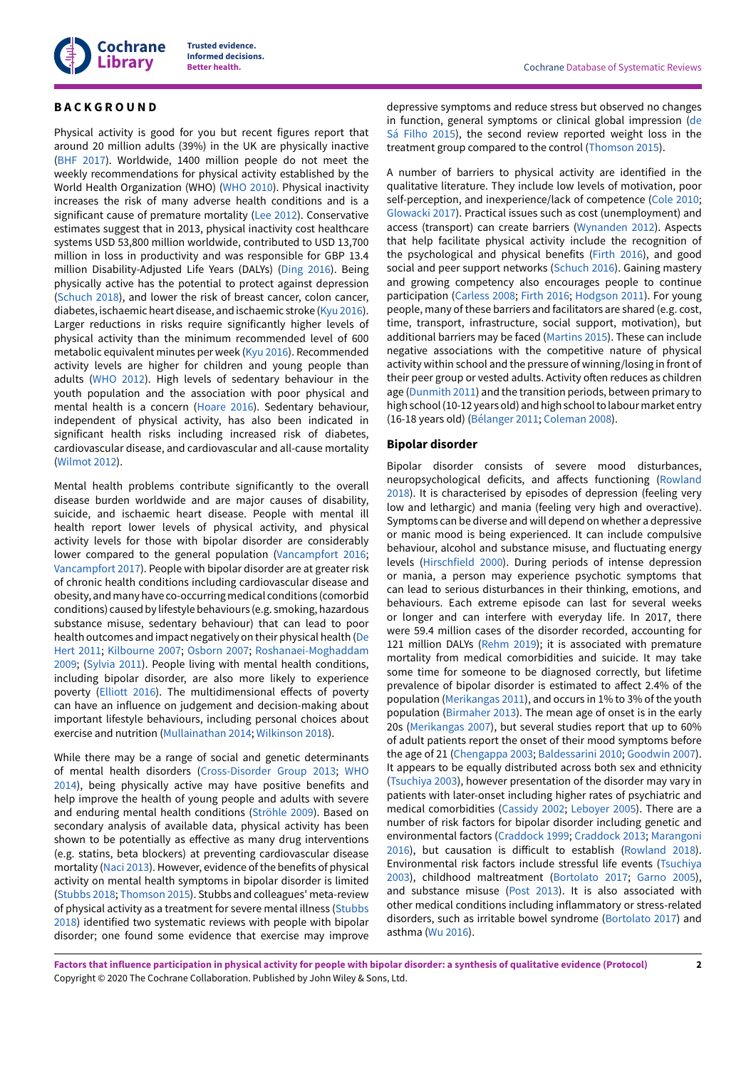

# <span id="page-4-0"></span>**B A C K G R O U N D**

Physical activity is good for you but recent figures report that around 20 million adults (39%) in the UK are physically inactive [\(BHF 2017](#page-13-1)). Worldwide, 1400 million people do not meet the weekly recommendations for physical activity established by the World Health Organization (WHO) [\(WHO 2010\)](#page-19-0). Physical inactivity increases the risk of many adverse health conditions and is a significant cause of premature mortality (Lee [2012](#page-17-0)). Conservative estimates suggest that in 2013, physical inactivity cost healthcare systems USD 53,800 million worldwide, contributed to USD 13,700 million in loss in productivity and was responsible for GBP 13.4 million Disability-Adjusted Life Years (DALYs) ([Ding 2016](#page-14-0)). Being physically active has the potential to protect against depression [\(Schuch 2018\)](#page-18-0), and lower the risk of breast cancer, colon cancer, diabetes, ischaemic heart disease, and ischaemic stroke (Kyu [2016\)](#page-16-0). Larger reductions in risks require significantly higher levels of physical activity than the minimum recommended level of 600 metabolic equivalent minutes per week (Kyu [2016](#page-16-0)). Recommended activity levels are higher for children and young people than adults ([WHO 2012](#page-19-1)). High levels of sedentary behaviour in the youth population and the association with poor physical and mental health is a concern [\(Hoare](#page-16-1) 2016). Sedentary behaviour, independent of physical activity, has also been indicated in significant health risks including increased risk of diabetes, cardiovascular disease, and cardiovascular and all-cause mortality [\(Wilmot](#page-20-1) 2012).

Mental health problems contribute significantly to the overall disease burden worldwide and are major causes of disability, suicide, and ischaemic heart disease. People with mental ill health report lower levels of physical activity, and physical activity levels for those with bipolar disorder are considerably lower compared to the general population ([Vancampfort](#page-19-2) 2016; [Vancampfort](#page-19-3) 2017). People with bipolar disorder are at greater risk of chronic health conditions including cardiovascular disease and obesity, andmany have co-occurringmedical conditions (comorbid conditions) caused by lifestyle behaviours (e.g. smoking, hazardous substance misuse, sedentary behaviour) that can lead to poor health outcomes and impact negatively on their physical health ([De](#page-14-1) [Hert 2011;](#page-14-1) [Kilbourne 2007;](#page-16-2) [Osborn 2007](#page-18-1); [Roshanaei-Moghaddam](#page-18-2) [2009](#page-18-2); [\(Sylvia 2011\)](#page-19-4). People living with mental health conditions, including bipolar disorder, are also more likely to experience poverty [\(Elliott](#page-15-0) 2016). The multidimensional effects of poverty can have an influence on judgement and decision-making about important lifestyle behaviours, including personal choices about exercise and nutrition ([Mullainathan 2014;](#page-17-1) [Wilkinson 2018](#page-19-5)).

While there may be a range of social and genetic determinants of mental health disorders [\(Cross-Disorder](#page-14-2) Group 2013; [WHO](#page-19-6) [2014](#page-19-6)), being physically active may have positive benefits and help improve the health of young people and adults with severe and enduring mental health conditions ([Ströhle](#page-19-7) 2009). Based on secondary analysis of available data, physical activity has been shown to be potentially as effective as many drug interventions (e.g. statins, beta blockers) at preventing cardiovascular disease mortality [\(Naci 2013](#page-17-2)). However, evidence of the benefits of physical activity on mental health symptoms in bipolar disorder is limited [\(Stubbs](#page-19-8) 2018; [Thomson 2015\)](#page-19-9). Stubbs and colleagues' meta-review of physical activity as a treatment for severe mental illness [\(Stubbs](#page-19-8) [2018](#page-19-8)) identified two systematic reviews with people with bipolar disorder; one found some evidence that exercise may improve

depressive symptoms and reduce stress but observed no changes in function, general symptoms or clinical global impression [\(de](#page-14-3) [Sá Filho 2015\)](#page-14-3), the second review reported weight loss in the treatment group compared to the control ([Thomson 2015](#page-19-9)).

A number of barriers to physical activity are identified in the qualitative literature. They include low levels of motivation, poor self-perception, and inexperience/lack of competence [\(Cole 2010;](#page-14-4) [Glowacki](#page-15-1) 2017). Practical issues such as cost (unemployment) and access (transport) can create barriers [\(Wynanden 2012\)](#page-20-2). Aspects that help facilitate physical activity include the recognition of the psychological and physical benefits ([Firth 2016](#page-15-2)), and good social and peer support networks [\(Schuch 2016](#page-18-3)). Gaining mastery and growing competency also encourages people to continue participation [\(Carless 2008;](#page-13-2) [Firth 2016](#page-15-2); [Hodgson 2011](#page-16-3)). For young people, many of these barriers and facilitators are shared (e.g. cost, time, transport, infrastructure, social support, motivation), but additional barriers may be faced ([Martins 2015](#page-17-3)). These can include negative associations with the competitive nature of physical activity within school and the pressure of winning/losing in front of their peer group or vested adults. Activity often reduces as children age [\(Dunmith 2011\)](#page-14-5) and the transition periods, between primary to high school (10-12 years old) and high school to labour market entry (16-18 years old) [\(Bélanger](#page-13-3) 2011; [Coleman 2008\)](#page-14-6).

#### **Bipolar disorder**

Bipolar disorder consists of severe mood disturbances, neuropsychological deficits, and affects functioning ([Rowland](#page-18-4) [2018\)](#page-18-4). It is characterised by episodes of depression (feeling very low and lethargic) and mania (feeling very high and overactive). Symptoms can be diverse and will depend on whether a depressive or manic mood is being experienced. It can include compulsive behaviour, alcohol and substance misuse, and fluctuating energy levels [\(Hirschfield](#page-16-4) 2000). During periods of intense depression or mania, a person may experience psychotic symptoms that can lead to serious disturbances in their thinking, emotions, and behaviours. Each extreme episode can last for several weeks or longer and can interfere with everyday life. In 2017, there were 59.4 million cases of the disorder recorded, accounting for 121 million DALYs [\(Rehm](#page-18-5) 2019); it is associated with premature mortality from medical comorbidities and suicide. It may take some time for someone to be diagnosed correctly, but lifetime prevalence of bipolar disorder is estimated to affect 2.4% of the population ([Merikangas](#page-17-4) 2011), and occurs in 1% to 3% of the youth population [\(Birmaher 2013\)](#page-13-4). The mean age of onset is in the early 20s ([Merikangas](#page-17-5) 2007), but several studies report that up to 60% of adult patients report the onset of their mood symptoms before the age of 21 [\(Chengappa](#page-14-7) 2003; [Baldessarini 2010;](#page-13-5) [Goodwin 2007\)](#page-15-3). It appears to be equally distributed across both sex and ethnicity [\(Tsuchiya](#page-19-10) 2003), however presentation of the disorder may vary in patients with later-onset including higher rates of psychiatric and medical comorbidities [\(Cassidy 2002;](#page-14-8) [Leboyer](#page-17-6) 2005). There are a number of risk factors for bipolar disorder including genetic and environmental factors [\(Craddock](#page-14-9) 1999; [Craddock](#page-14-10) 2013; [Marangoni](#page-17-7) [2016\)](#page-17-7), but causation is difficult to establish ([Rowland](#page-18-4) 2018). Environmental risk factors include stressful life events [\(Tsuchiya](#page-19-10) [2003\)](#page-19-10), childhood maltreatment ([Bortolato](#page-13-6) 2017; [Garno 2005\)](#page-15-4), and substance misuse (Post [2013\)](#page-18-6). It is also associated with other medical conditions including inflammatory or stress-related disorders, such as irritable bowel syndrome ([Bortolato](#page-13-6) 2017) and asthma [\(Wu 2016\)](#page-20-3).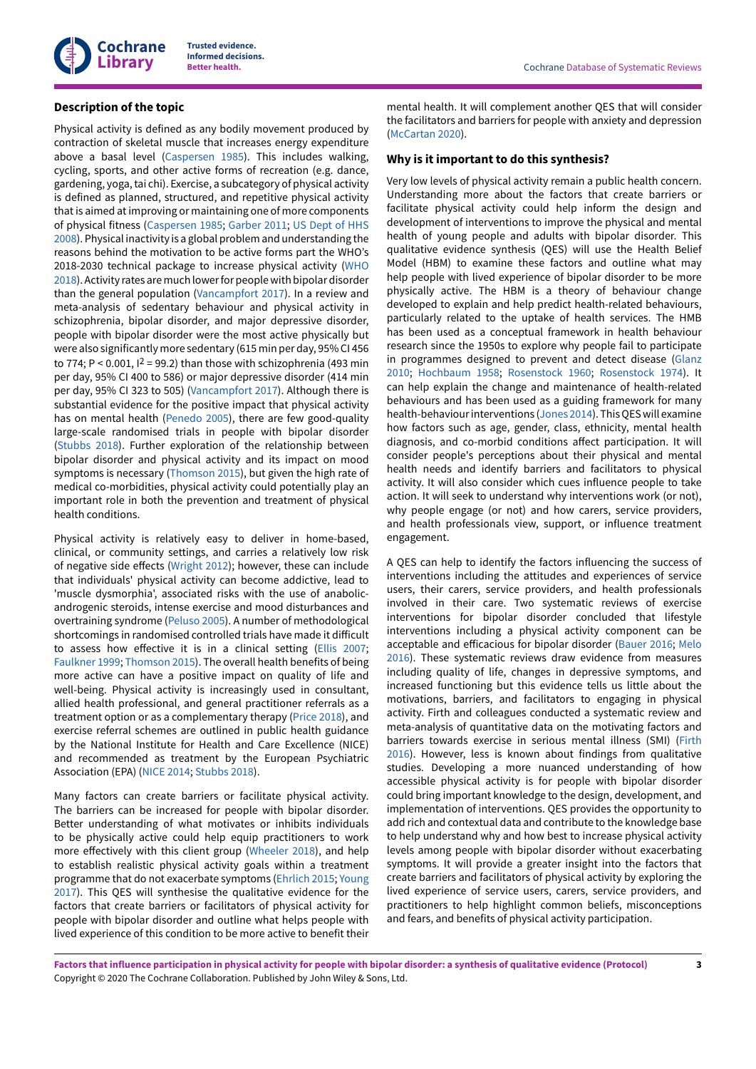

# **Description of the topic**

Physical activity is defined as any bodily movement produced by contraction of skeletal muscle that increases energy expenditure above a basal level [\(Caspersen](#page-14-11) 1985). This includes walking, cycling, sports, and other active forms of recreation (e.g. dance, gardening, yoga, tai chi). Exercise, a subcategory of physical activity is defined as planned, structured, and repetitive physical activity that is aimed at improving or maintaining one of more components of physical fitness ([Caspersen](#page-14-11) 1985; [Garber 2011](#page-15-5); US [Dept](#page-19-11) of HHS [2008](#page-19-11)). Physical inactivity is a global problem and understanding the reasons behind the motivation to be active forms part the WHO's 2018-2030 technical package to increase physical activity ([WHO](#page-19-12) [2018](#page-19-12)). Activity rates are much lower for people with bipolar disorder than the general population [\(Vancampfort](#page-19-3) 2017). In a review and meta-analysis of sedentary behaviour and physical activity in schizophrenia, bipolar disorder, and major depressive disorder, people with bipolar disorder were the most active physically but were also significantly more sedentary (615 min per day, 95% CI 456 to 774; P < 0.001,  $I^2$  = 99.2) than those with schizophrenia (493 min per day, 95% CI 400 to 586) or major depressive disorder (414 min per day, 95% CI 323 to 505) [\(Vancampfort](#page-19-3) 2017). Although there is substantial evidence for the positive impact that physical activity has on mental health ([Penedo](#page-18-7) 2005), there are few good-quality large-scale randomised trials in people with bipolar disorder [\(Stubbs](#page-19-8) 2018). Further exploration of the relationship between bipolar disorder and physical activity and its impact on mood symptoms is necessary ([Thomson 2015](#page-19-9)), but given the high rate of medical co-morbidities, physical activity could potentially play an important role in both the prevention and treatment of physical health conditions.

Physical activity is relatively easy to deliver in home-based, clinical, or community settings, and carries a relatively low risk of negative side effects ([Wright 2012\)](#page-20-4); however, these can include that individuals' physical activity can become addictive, lead to 'muscle dysmorphia', associated risks with the use of anabolicandrogenic steroids, intense exercise and mood disturbances and overtraining syndrome [\(Peluso](#page-18-8) 2005). A number of methodological shortcomings in randomised controlled trials have made it difficult to assess how effective it is in a clinical setting [\(Ellis 2007](#page-15-6); [Faulkner](#page-15-7) 1999; [Thomson 2015\)](#page-19-9). The overall health benefits of being more active can have a positive impact on quality of life and well-being. Physical activity is increasingly used in consultant, allied health professional, and general practitioner referrals as a treatment option or as a complementary therapy ([Price](#page-18-9) 2018), and exercise referral schemes are outlined in public health guidance by the National Institute for Health and Care Excellence (NICE) and recommended as treatment by the European Psychiatric Association (EPA) [\(NICE 2014;](#page-17-8) [Stubbs](#page-19-8) 2018).

Many factors can create barriers or facilitate physical activity. The barriers can be increased for people with bipolar disorder. Better understanding of what motivates or inhibits individuals to be physically active could help equip practitioners to work more effectively with this client group [\(Wheeler 2018](#page-19-13)), and help to establish realistic physical activity goals within a treatment programme that do not exacerbate symptoms ([Ehrlich 2015;](#page-15-8) [Young](#page-20-5) [2017](#page-20-5)). This QES will synthesise the qualitative evidence for the factors that create barriers or facilitators of physical activity for people with bipolar disorder and outline what helps people with lived experience of this condition to be more active to benefit their

mental health. It will complement another QES that will consider the facilitators and barriers for people with anxiety and depression [\(McCartan](#page-17-9) 2020).

## **Why is it important to do this synthesis?**

Very low levels of physical activity remain a public health concern. Understanding more about the factors that create barriers or facilitate physical activity could help inform the design and development of interventions to improve the physical and mental health of young people and adults with bipolar disorder. This qualitative evidence synthesis (QES) will use the Health Belief Model (HBM) to examine these factors and outline what may help people with lived experience of bipolar disorder to be more physically active. The HBM is a theory of behaviour change developed to explain and help predict health-related behaviours, particularly related to the uptake of health services. The HMB has been used as a conceptual framework in health behaviour research since the 1950s to explore why people fail to participate in programmes designed to prevent and detect disease ([Glanz](#page-15-9) [2010;](#page-15-9) [Hochbaum](#page-16-5) 1958; [Rosenstock](#page-18-10) 1960; [Rosenstock](#page-18-11) 1974). It can help explain the change and maintenance of health-related behaviours and has been used as a guiding framework for many health-behaviour interventions [\(Jones 2014\)](#page-16-6). This QES will examine how factors such as age, gender, class, ethnicity, mental health diagnosis, and co-morbid conditions affect participation. It will consider people's perceptions about their physical and mental health needs and identify barriers and facilitators to physical activity. It will also consider which cues influence people to take action. It will seek to understand why interventions work (or not), why people engage (or not) and how carers, service providers, and health professionals view, support, or influence treatment engagement.

A QES can help to identify the factors influencing the success of interventions including the attitudes and experiences of service users, their carers, service providers, and health professionals involved in their care. Two systematic reviews of exercise interventions for bipolar disorder concluded that lifestyle interventions including a physical activity component can be acceptable and efficacious for bipolar disorder [\(Bauer 2016;](#page-13-7) [Melo](#page-17-10) [2016\)](#page-17-10). These systematic reviews draw evidence from measures including quality of life, changes in depressive symptoms, and increased functioning but this evidence tells us little about the motivations, barriers, and facilitators to engaging in physical activity. Firth and colleagues conducted a systematic review and meta-analysis of quantitative data on the motivating factors and barriers towards exercise in serious mental illness (SMI) [\(Firth](#page-15-2) [2016\)](#page-15-2). However, less is known about findings from qualitative studies. Developing a more nuanced understanding of how accessible physical activity is for people with bipolar disorder could bring important knowledge to the design, development, and implementation of interventions. QES provides the opportunity to add rich and contextual data and contribute to the knowledge base to help understand why and how best to increase physical activity levels among people with bipolar disorder without exacerbating symptoms. It will provide a greater insight into the factors that create barriers and facilitators of physical activity by exploring the lived experience of service users, carers, service providers, and practitioners to help highlight common beliefs, misconceptions and fears, and benefits of physical activity participation.

Factors that influence participation in physical activity for people with bipolar disorder: a synthesis of qualitative evidence (Protocol) Copyright © 2020 The Cochrane Collaboration. Published by John Wiley & Sons, Ltd.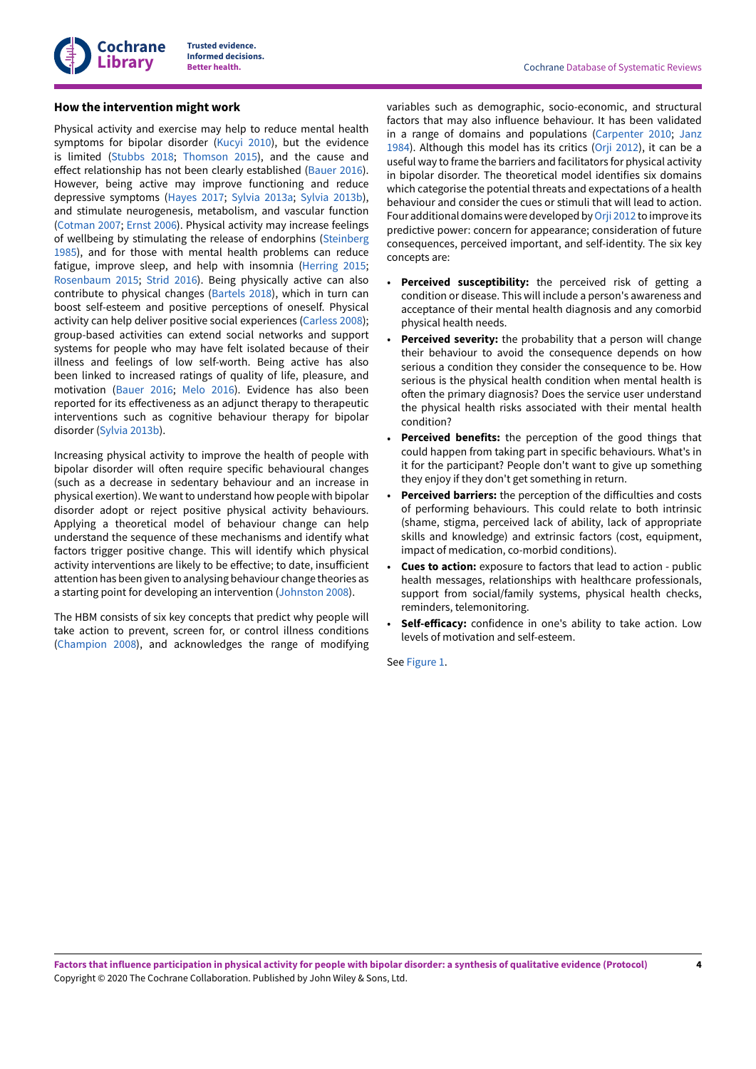# **How the intervention might work**

Physical activity and exercise may help to reduce mental health symptoms for bipolar disorder ([Kucyi](#page-16-7) 2010), but the evidence is limited ([Stubbs](#page-19-8) 2018; [Thomson 2015\)](#page-19-9), and the cause and effect relationship has not been clearly established ([Bauer 2016\)](#page-13-7). However, being active may improve functioning and reduce depressive symptoms [\(Hayes](#page-15-10) 2017; [Sylvia 2013a;](#page-19-14) [Sylvia 2013b\)](#page-19-15), and stimulate neurogenesis, metabolism, and vascular function [\(Cotman](#page-14-12) 2007; [Ernst](#page-15-11) 2006). Physical activity may increase feelings of wellbeing by stimulating the release of endorphins [\(Steinberg](#page-18-12) [1985](#page-18-12)), and for those with mental health problems can reduce fatigue, improve sleep, and help with insomnia [\(Herring 2015](#page-16-8); [Rosenbaum](#page-18-13) 2015; [Strid](#page-18-14) 2016). Being physically active can also contribute to physical changes ([Bartels](#page-13-8) 2018), which in turn can boost self-esteem and positive perceptions of oneself. Physical activity can help deliver positive social experiences ([Carless 2008\)](#page-13-2); group-based activities can extend social networks and support systems for people who may have felt isolated because of their illness and feelings of low self-worth. Being active has also been linked to increased ratings of quality of life, pleasure, and motivation [\(Bauer 2016](#page-13-7); [Melo 2016\)](#page-17-10). Evidence has also been reported for its effectiveness as an adjunct therapy to therapeutic interventions such as cognitive behaviour therapy for bipolar disorder ([Sylvia 2013b](#page-19-15)).

Increasing physical activity to improve the health of people with bipolar disorder will often require specific behavioural changes (such as a decrease in sedentary behaviour and an increase in physical exertion). We want to understand how people with bipolar disorder adopt or reject positive physical activity behaviours. Applying a theoretical model of behaviour change can help understand the sequence of these mechanisms and identify what factors trigger positive change. This will identify which physical activity interventions are likely to be effective; to date, insufficient attention has been given to analysing behaviour change theories as a starting point for developing an intervention ([Johnston](#page-16-9) 2008).

The HBM consists of six key concepts that predict why people will take action to prevent, screen for, or control illness conditions [\(Champion 2008](#page-14-13)), and acknowledges the range of modifying

variables such as demographic, socio-economic, and structural factors that may also influence behaviour. It has been validated in a range of domains and populations [\(Carpenter](#page-13-9) 2010; [Janz](#page-16-10) [1984\)](#page-16-10). Although this model has its critics ([Orji 2012\)](#page-18-15), it can be a useful way to frame the barriers and facilitators for physical activity in bipolar disorder. The theoretical model identifies six domains which categorise the potential threats and expectations of a health behaviour and consider the cues or stimuli that will lead to action. Four additional domains were developed by [Orji 2012](#page-18-15) to improve its predictive power: concern for appearance; consideration of future consequences, perceived important, and self-identity. The six key concepts are:

- **Perceived susceptibility:** the perceived risk of getting a condition or disease. This will include a person's awareness and acceptance of their mental health diagnosis and any comorbid physical health needs.
- **Perceived severity:** the probability that a person will change their behaviour to avoid the consequence depends on how serious a condition they consider the consequence to be. How serious is the physical health condition when mental health is often the primary diagnosis? Does the service user understand the physical health risks associated with their mental health condition?
- **Perceived benefits:** the perception of the good things that could happen from taking part in specific behaviours. What's in it for the participant? People don't want to give up something they enjoy if they don't get something in return.
- **Perceived barriers:** the perception of the difficulties and costs of performing behaviours. This could relate to both intrinsic (shame, stigma, perceived lack of ability, lack of appropriate skills and knowledge) and extrinsic factors (cost, equipment, impact of medication, co-morbid conditions).
- **Cues to action:** exposure to factors that lead to action public health messages, relationships with healthcare professionals, support from social/family systems, physical health checks, reminders, telemonitoring.
- **Self-efficacy:** confidence in one's ability to take action. Low levels of motivation and self-esteem.

See [Figure](#page-7-0) 1.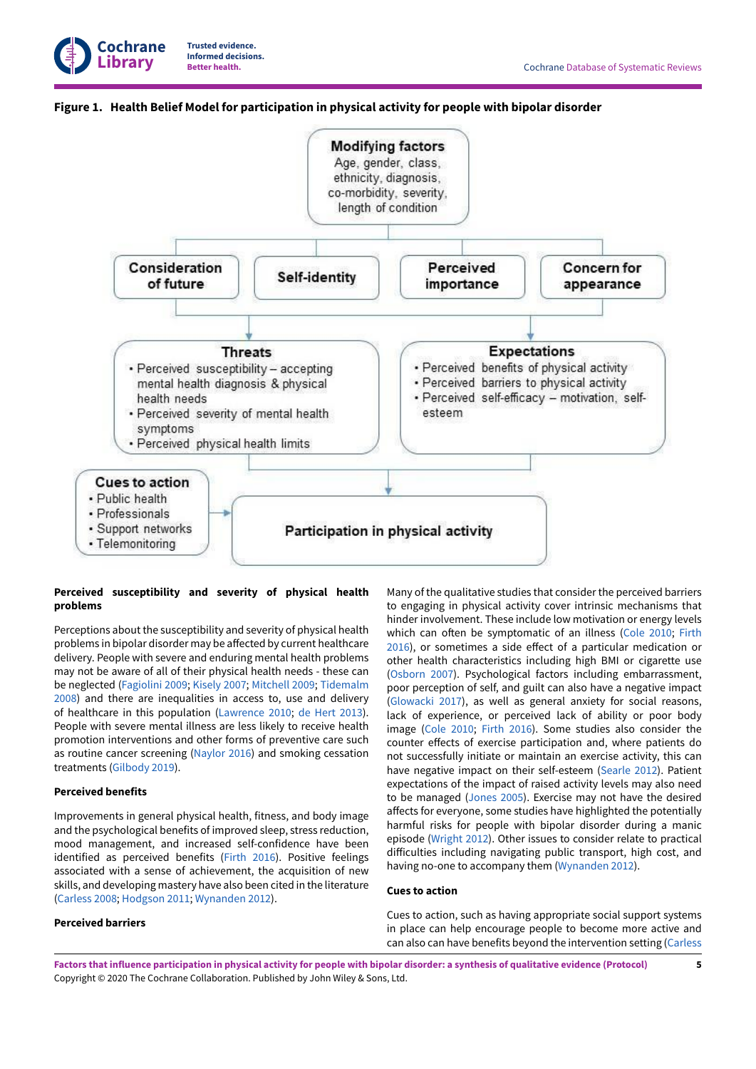<span id="page-7-0"></span>



# **Perceived susceptibility and severity of physical health problems**

Perceptions about the susceptibility and severity of physical health problems in bipolar disorder may be affected by current healthcare delivery. People with severe and enduring mental health problems may not be aware of all of their physical health needs - these can be neglected ([Fagiolini](#page-15-12) 2009; [Kisely 2007](#page-16-11); [Mitchell](#page-17-11) 2009; [Tidemalm](#page-19-16) [2008](#page-19-16)) and there are inequalities in access to, use and delivery of healthcare in this population [\(Lawrence](#page-17-12) 2010; [de Hert 2013\)](#page-14-14). People with severe mental illness are less likely to receive health promotion interventions and other forms of preventive care such as routine cancer screening ([Naylor 2016\)](#page-17-13) and smoking cessation treatments ([Gilbody 2019](#page-15-13)).

# **Perceived benefits**

Improvements in general physical health, fitness, and body image and the psychological benefits of improved sleep, stress reduction, mood management, and increased self-confidence have been identified as perceived benefits [\(Firth 2016\)](#page-15-2). Positive feelings associated with a sense of achievement, the acquisition of new skills, and developing mastery have also been cited in the literature [\(Carless 2008](#page-13-2); [Hodgson 2011;](#page-16-3) [Wynanden 2012](#page-20-2)).

## **Perceived barriers**

Many of the qualitative studies that consider the perceived barriers to engaging in physical activity cover intrinsic mechanisms that hinder involvement. These include low motivation or energy levels which can often be symptomatic of an illness [\(Cole 2010](#page-14-4); [Firth](#page-15-2) [2016\)](#page-15-2), or sometimes a side effect of a particular medication or other health characteristics including high BMI or cigarette use [\(Osborn 2007](#page-18-1)). Psychological factors including embarrassment, poor perception of self, and guilt can also have a negative impact [\(Glowacki](#page-15-1) 2017), as well as general anxiety for social reasons, lack of experience, or perceived lack of ability or poor body image ([Cole 2010](#page-14-4); [Firth 2016](#page-15-2)). Some studies also consider the counter effects of exercise participation and, where patients do not successfully initiate or maintain an exercise activity, this can have negative impact on their self-esteem [\(Searle](#page-18-16) 2012). Patient expectations of the impact of raised activity levels may also need to be managed ([Jones 2005](#page-16-12)). Exercise may not have the desired affects for everyone, some studies have highlighted the potentially harmful risks for people with bipolar disorder during a manic episode ([Wright 2012\)](#page-20-4). Other issues to consider relate to practical difficulties including navigating public transport, high cost, and having no-one to accompany them ([Wynanden 2012](#page-20-2)).

# **Cues to action**

Cues to action, such as having appropriate social support systems in place can help encourage people to become more active and can also can have benefits beyond the intervention setting ([Carless](#page-13-2)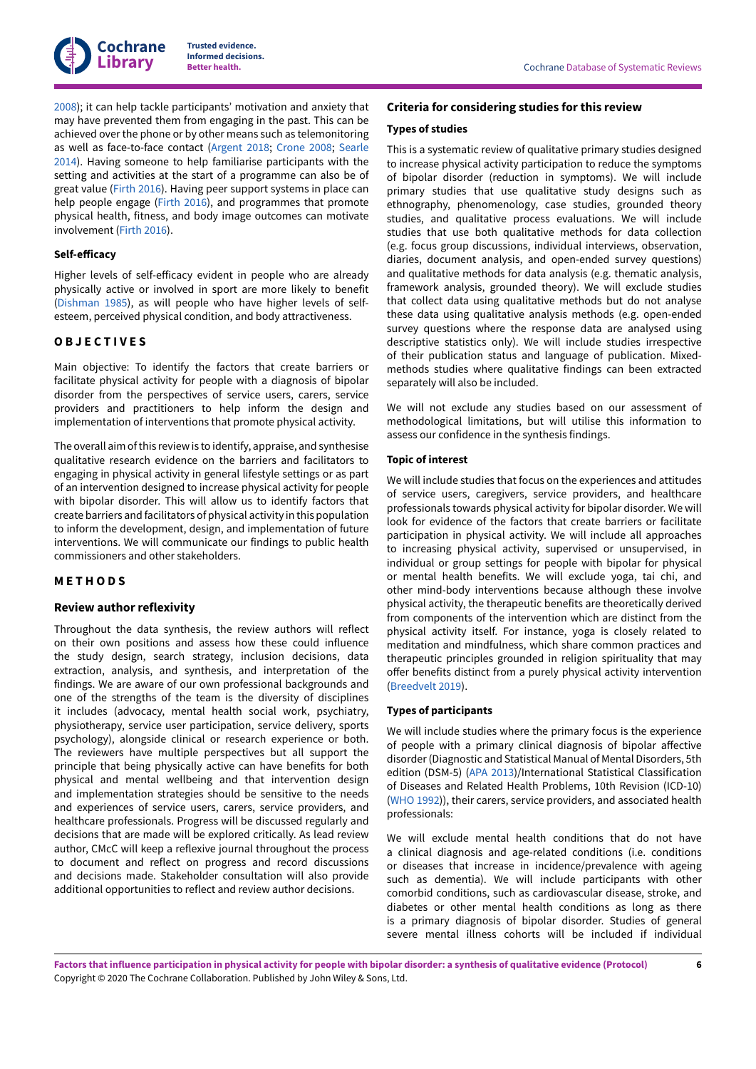

[2008](#page-13-2)); it can help tackle participants' motivation and anxiety that may have prevented them from engaging in the past. This can be achieved over the phone or by other means such as telemonitoring as well as face-to-face contact [\(Argent](#page-13-10) 2018; [Crone](#page-14-15) 2008; [Searle](#page-18-17) [2014](#page-18-17)). Having someone to help familiarise participants with the setting and activities at the start of a programme can also be of great value [\(Firth 2016\)](#page-15-2). Having peer support systems in place can help people engage [\(Firth 2016\)](#page-15-2), and programmes that promote physical health, fitness, and body image outcomes can motivate involvement [\(Firth 2016](#page-15-2)).

#### **Self-e7icacy**

Higher levels of self-efficacy evident in people who are already physically active or involved in sport are more likely to benefit [\(Dishman 1985](#page-14-16)), as will people who have higher levels of selfesteem, perceived physical condition, and body attractiveness.

# <span id="page-8-0"></span>**O B J E C T I V E S**

Main objective: To identify the factors that create barriers or facilitate physical activity for people with a diagnosis of bipolar disorder from the perspectives of service users, carers, service providers and practitioners to help inform the design and implementation of interventions that promote physical activity.

The overall aim of this review is to identify, appraise, and synthesise qualitative research evidence on the barriers and facilitators to engaging in physical activity in general lifestyle settings or as part of an intervention designed to increase physical activity for people with bipolar disorder. This will allow us to identify factors that create barriers and facilitators of physical activity in this population to inform the development, design, and implementation of future interventions. We will communicate our findings to public health commissioners and other stakeholders.

# <span id="page-8-1"></span>**M E T H O D S**

# **Review author reflexivity**

Throughout the data synthesis, the review authors will reflect on their own positions and assess how these could influence the study design, search strategy, inclusion decisions, data extraction, analysis, and synthesis, and interpretation of the findings. We are aware of our own professional backgrounds and one of the strengths of the team is the diversity of disciplines it includes (advocacy, mental health social work, psychiatry, physiotherapy, service user participation, service delivery, sports psychology), alongside clinical or research experience or both. The reviewers have multiple perspectives but all support the principle that being physically active can have benefits for both physical and mental wellbeing and that intervention design and implementation strategies should be sensitive to the needs and experiences of service users, carers, service providers, and healthcare professionals. Progress will be discussed regularly and decisions that are made will be explored critically. As lead review author, CMcC will keep a reflexive journal throughout the process to document and reflect on progress and record discussions and decisions made. Stakeholder consultation will also provide additional opportunities to reflect and review author decisions.

#### **Criteria for considering studies for this review**

#### **Types of studies**

This is a systematic review of qualitative primary studies designed to increase physical activity participation to reduce the symptoms of bipolar disorder (reduction in symptoms). We will include primary studies that use qualitative study designs such as ethnography, phenomenology, case studies, grounded theory studies, and qualitative process evaluations. We will include studies that use both qualitative methods for data collection (e.g. focus group discussions, individual interviews, observation, diaries, document analysis, and open-ended survey questions) and qualitative methods for data analysis (e.g. thematic analysis, framework analysis, grounded theory). We will exclude studies that collect data using qualitative methods but do not analyse these data using qualitative analysis methods (e.g. open-ended survey questions where the response data are analysed using descriptive statistics only). We will include studies irrespective of their publication status and language of publication. Mixedmethods studies where qualitative findings can been extracted separately will also be included.

We will not exclude any studies based on our assessment of methodological limitations, but will utilise this information to assess our confidence in the synthesis findings.

#### **Topic of interest**

We will include studies that focus on the experiences and attitudes of service users, caregivers, service providers, and healthcare professionals towards physical activity for bipolar disorder. We will look for evidence of the factors that create barriers or facilitate participation in physical activity. We will include all approaches to increasing physical activity, supervised or unsupervised, in individual or group settings for people with bipolar for physical or mental health benefits. We will exclude yoga, tai chi, and other mind-body interventions because although these involve physical activity, the therapeutic benefits are theoretically derived from components of the intervention which are distinct from the physical activity itself. For instance, yoga is closely related to meditation and mindfulness, which share common practices and therapeutic principles grounded in religion spirituality that may offer benefits distinct from a purely physical activity intervention [\(Breedvelt](#page-13-11) 2019).

#### **Types of participants**

We will include studies where the primary focus is the experience of people with a primary clinical diagnosis of bipolar affective disorder(Diagnostic and Statistical Manual of Mental Disorders, 5th edition (DSM-5) (APA [2013\)](#page-13-12)/International Statistical Classification of Diseases and Related Health Problems, 10th Revision (ICD-10) [\(WHO 1992](#page-19-17))), their carers, service providers, and associated health professionals:

We will exclude mental health conditions that do not have a clinical diagnosis and age-related conditions (i.e. conditions or diseases that increase in incidence/prevalence with ageing such as dementia). We will include participants with other comorbid conditions, such as cardiovascular disease, stroke, and diabetes or other mental health conditions as long as there is a primary diagnosis of bipolar disorder. Studies of general severe mental illness cohorts will be included if individual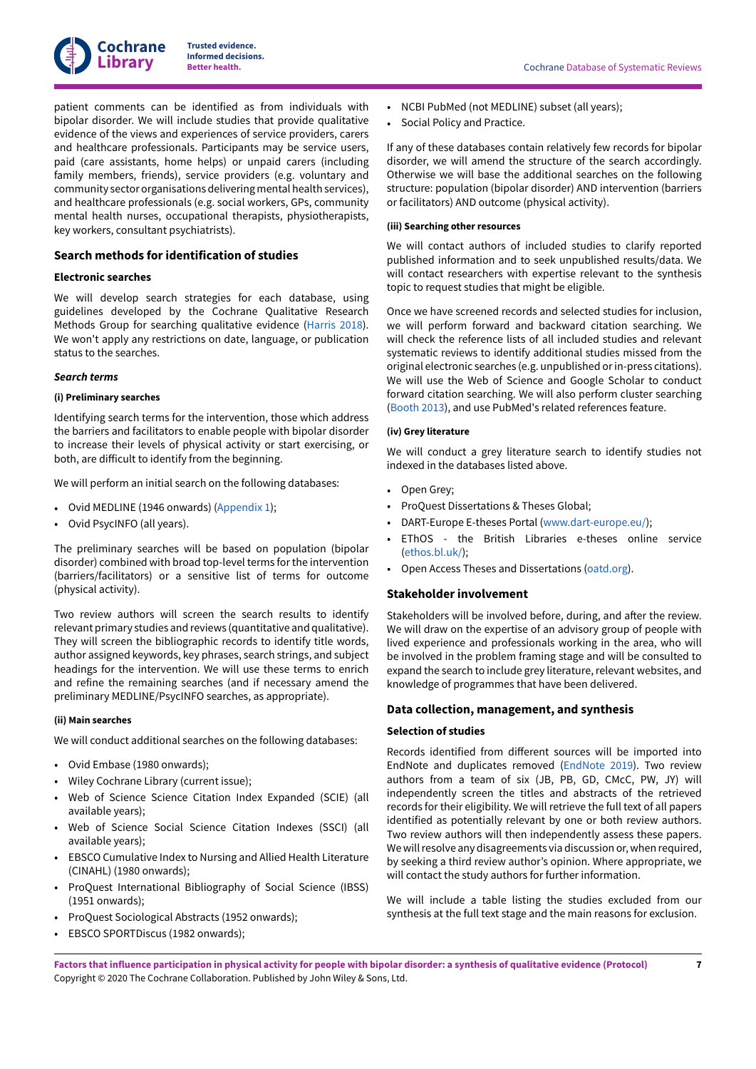

patient comments can be identified as from individuals with bipolar disorder. We will include studies that provide qualitative evidence of the views and experiences of service providers, carers and healthcare professionals. Participants may be service users, paid (care assistants, home helps) or unpaid carers (including family members, friends), service providers (e.g. voluntary and community sector organisations delivering mental health services), and healthcare professionals (e.g. social workers, GPs, community mental health nurses, occupational therapists, physiotherapists, key workers, consultant psychiatrists).

# **Search methods for identification of studies**

# **Electronic searches**

We will develop search strategies for each database, using guidelines developed by the Cochrane Qualitative Research Methods Group for searching qualitative evidence ([Harris 2018\)](#page-15-14). We won't apply any restrictions on date, language, or publication status to the searches.

## *Search terms*

## **(i) Preliminary searches**

Identifying search terms for the intervention, those which address the barriers and facilitators to enable people with bipolar disorder to increase their levels of physical activity or start exercising, or both, are difficult to identify from the beginning.

We will perform an initial search on the following databases:

- Ovid MEDLINE (1946 onwards) [\(Appendix 1\)](#page-20-6);
- Ovid PsycINFO (all years).

The preliminary searches will be based on population (bipolar disorder) combined with broad top-level terms for the intervention (barriers/facilitators) or a sensitive list of terms for outcome (physical activity).

Two review authors will screen the search results to identify relevant primary studies and reviews (quantitative and qualitative). They will screen the bibliographic records to identify title words, author assigned keywords, key phrases, search strings, and subject headings for the intervention. We will use these terms to enrich and refine the remaining searches (and if necessary amend the preliminary MEDLINE/PsycINFO searches, as appropriate).

#### **(ii) Main searches**

We will conduct additional searches on the following databases:

- Ovid Embase (1980 onwards);
- Wiley Cochrane Library (current issue);
- Web of Science Science Citation Index Expanded (SCIE) (all available years);
- Web of Science Social Science Citation Indexes (SSCI) (all available years);
- EBSCO Cumulative Index to Nursing and Allied Health Literature (CINAHL) (1980 onwards);
- ProQuest International Bibliography of Social Science (IBSS) (1951 onwards);
- ProQuest Sociological Abstracts (1952 onwards);
- EBSCO SPORTDiscus (1982 onwards);
- NCBI PubMed (not MEDLINE) subset (all years);
- Social Policy and Practice.

If any of these databases contain relatively few records for bipolar disorder, we will amend the structure of the search accordingly. Otherwise we will base the additional searches on the following structure: population (bipolar disorder) AND intervention (barriers or facilitators) AND outcome (physical activity).

#### **(iii) Searching other resources**

We will contact authors of included studies to clarify reported published information and to seek unpublished results/data. We will contact researchers with expertise relevant to the synthesis topic to request studies that might be eligible.

Once we have screened records and selected studies for inclusion, we will perform forward and backward citation searching. We will check the reference lists of all included studies and relevant systematic reviews to identify additional studies missed from the original electronic searches (e.g. unpublished or in-press citations). We will use the Web of Science and Google Scholar to conduct forward citation searching. We will also perform cluster searching [\(Booth](#page-13-13) 2013), and use PubMed's related references feature.

#### **(iv) Grey literature**

We will conduct a grey literature search to identify studies not indexed in the databases listed above.

- Open Grey;
- ProQuest Dissertations & Theses Global;
- DART-Europe E-theses Portal [\(www.dart-europe.eu/\)](http://www.dart-europe.eu/);
- EThOS the British Libraries e-theses online service ([ethos.bl.uk/](http://ethos.bl.uk/));
- Open Access Theses and Dissertations ([oatd.org](https://oatd.org)).

# **Stakeholder involvement**

Stakeholders will be involved before, during, and after the review. We will draw on the expertise of an advisory group of people with lived experience and professionals working in the area, who will be involved in the problem framing stage and will be consulted to expand the search to include grey literature, relevant websites, and knowledge of programmes that have been delivered.

# **Data collection, management, and synthesis**

## **Selection of studies**

Records identified from different sources will be imported into EndNote and duplicates removed ([EndNote](#page-15-15) 2019). Two review authors from a team of six (JB, PB, GD, CMcC, PW, JY) will independently screen the titles and abstracts of the retrieved records for their eligibility. We will retrieve the full text of all papers identified as potentially relevant by one or both review authors. Two review authors will then independently assess these papers. We will resolve any disagreements via discussion or, when required, by seeking a third review author's opinion. Where appropriate, we will contact the study authors for further information.

We will include a table listing the studies excluded from our synthesis at the full text stage and the main reasons for exclusion.

Factors that influence participation in physical activity for people with bipolar disorder: a synthesis of qualitative evidence (Protocol) Copyright © 2020 The Cochrane Collaboration. Published by John Wiley & Sons, Ltd.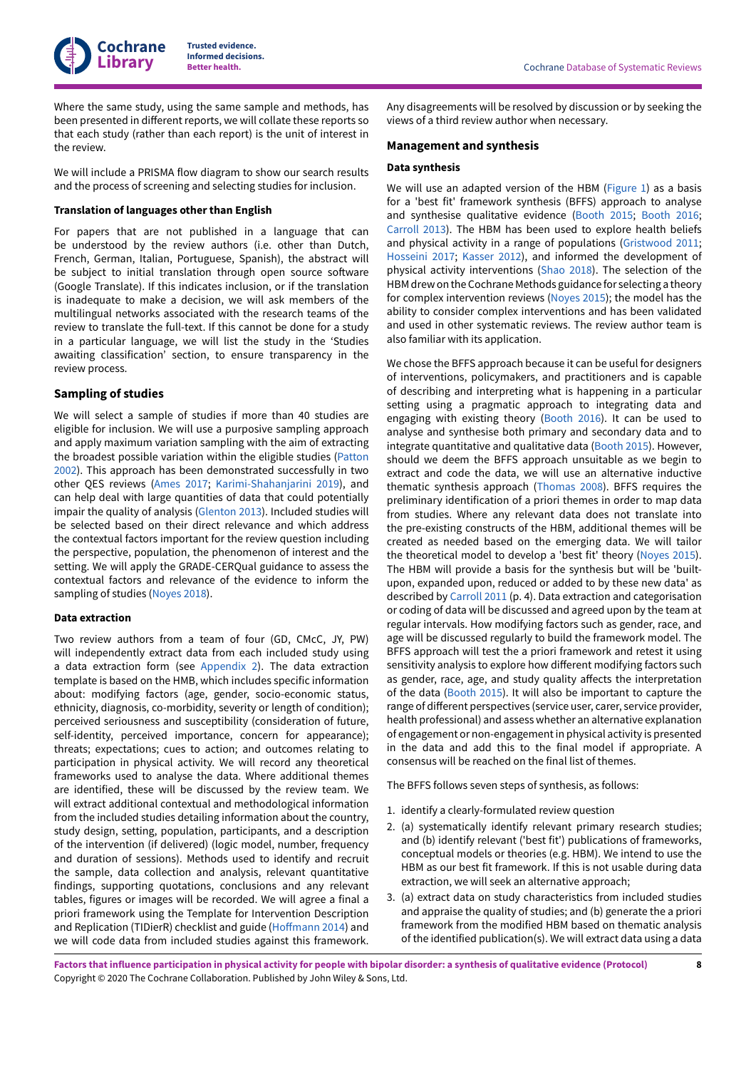

Where the same study, using the same sample and methods, has been presented in different reports, we will collate these reports so that each study (rather than each report) is the unit of interest in the review.

We will include a PRISMA flow diagram to show our search results and the process of screening and selecting studies for inclusion.

#### **Translation of languages other than English**

For papers that are not published in a language that can be understood by the review authors (i.e. other than Dutch, French, German, Italian, Portuguese, Spanish), the abstract will be subject to initial translation through open source software (Google Translate). If this indicates inclusion, or if the translation is inadequate to make a decision, we will ask members of the multilingual networks associated with the research teams of the review to translate the full-text. If this cannot be done for a study in a particular language, we will list the study in the 'Studies awaiting classification' section, to ensure transparency in the review process.

## **Sampling of studies**

We will select a sample of studies if more than 40 studies are eligible for inclusion. We will use a purposive sampling approach and apply maximum variation sampling with the aim of extracting the broadest possible variation within the eligible studies ([Patton](#page-18-18) [2002](#page-18-18)). This approach has been demonstrated successfully in two other QES reviews [\(Ames 2017;](#page-13-14) [Karimi-Shahanjarini 2019](#page-16-13)), and can help deal with large quantities of data that could potentially impair the quality of analysis [\(Glenton](#page-15-16) 2013). Included studies will be selected based on their direct relevance and which address the contextual factors important for the review question including the perspective, population, the phenomenon of interest and the setting. We will apply the GRADE-CERQual guidance to assess the contextual factors and relevance of the evidence to inform the sampling of studies ([Noyes](#page-17-14) 2018).

#### **Data extraction**

Two review authors from a team of four (GD, CMcC, JY, PW) will independently extract data from each included study using a data extraction form (see [Appendix 2\)](#page-21-0). The data extraction template is based on the HMB, which includes specific information about: modifying factors (age, gender, socio-economic status, ethnicity, diagnosis, co-morbidity, severity or length of condition); perceived seriousness and susceptibility (consideration of future, self-identity, perceived importance, concern for appearance); threats; expectations; cues to action; and outcomes relating to participation in physical activity. We will record any theoretical frameworks used to analyse the data. Where additional themes are identified, these will be discussed by the review team. We will extract additional contextual and methodological information from the included studies detailing information about the country, study design, setting, population, participants, and a description of the intervention (if delivered) (logic model, number, frequency and duration of sessions). Methods used to identify and recruit the sample, data collection and analysis, relevant quantitative findings, supporting quotations, conclusions and any relevant tables, figures or images will be recorded. We will agree a final a priori framework using the Template for Intervention Description and Replication (TIDierR) checklist and guide (Hoffmann 2014) and we will code data from included studies against this framework.

Any disagreements will be resolved by discussion or by seeking the views of a third review author when necessary.

#### **Management and synthesis**

#### **Data synthesis**

We will use an adapted version of the HBM [\(Figure](#page-7-0) 1) as a basis for a 'best fit' framework synthesis (BFFS) approach to analyse and synthesise qualitative evidence [\(Booth](#page-13-15) 2015; [Booth](#page-13-16) 2016; [Carroll](#page-14-17) 2013). The HBM has been used to explore health beliefs and physical activity in a range of populations ([Gristwood](#page-15-17) 2011; [Hosseini 2017](#page-16-15); [Kasser 2012\)](#page-16-16), and informed the development of physical activity interventions [\(Shao 2018](#page-18-19)). The selection of the HBM drew on the Cochrane Methods guidance for selecting a theory for complex intervention reviews ([Noyes](#page-17-15) 2015); the model has the ability to consider complex interventions and has been validated and used in other systematic reviews. The review author team is also familiar with its application.

We chose the BFFS approach because it can be useful for designers of interventions, policymakers, and practitioners and is capable of describing and interpreting what is happening in a particular setting using a pragmatic approach to integrating data and engaging with existing theory ([Booth](#page-13-16) 2016). It can be used to analyse and synthesise both primary and secondary data and to integrate quantitative and qualitative data [\(Booth](#page-13-15) 2015). However, should we deem the BFFS approach unsuitable as we begin to extract and code the data, we will use an alternative inductive thematic synthesis approach ([Thomas 2008\)](#page-19-18). BFFS requires the preliminary identification of a priori themes in order to map data from studies. Where any relevant data does not translate into the pre-existing constructs of the HBM, additional themes will be created as needed based on the emerging data. We will tailor the theoretical model to develop a 'best fit' theory [\(Noyes](#page-17-15) 2015). The HBM will provide a basis for the synthesis but will be 'builtupon, expanded upon, reduced or added to by these new data' as described by [Carroll](#page-14-18) 2011 (p. 4). Data extraction and categorisation or coding of data will be discussed and agreed upon by the team at regular intervals. How modifying factors such as gender, race, and age will be discussed regularly to build the framework model. The BFFS approach will test the a priori framework and retest it using sensitivity analysis to explore how different modifying factors such as gender, race, age, and study quality affects the interpretation of the data [\(Booth](#page-13-15) 2015). It will also be important to capture the range of different perspectives (service user, carer, service provider, health professional) and assess whether an alternative explanation of engagement or non-engagementin physical activity is presented in the data and add this to the final model if appropriate. A consensus will be reached on the final list of themes.

The BFFS follows seven steps of synthesis, as follows:

- 1. identify a clearly-formulated review question
- 2. (a) systematically identify relevant primary research studies; and (b) identify relevant ('best fit') publications of frameworks, conceptual models or theories (e.g. HBM). We intend to use the HBM as our best fit framework. If this is not usable during data extraction, we will seek an alternative approach;
- 3. (a) extract data on study characteristics from included studies and appraise the quality of studies; and (b) generate the a priori framework from the modified HBM based on thematic analysis of the identified publication(s). We will extract data using a data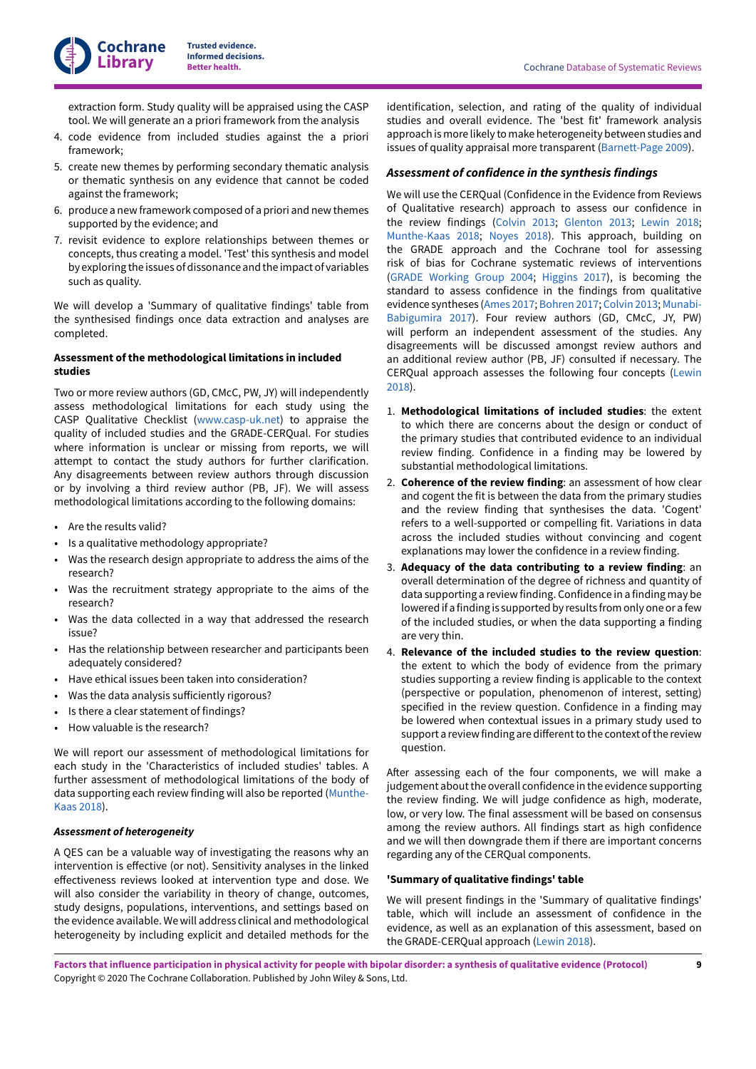

extraction form. Study quality will be appraised using the CASP tool. We will generate an a priori framework from the analysis

- 4. code evidence from included studies against the a priori framework;
- 5. create new themes by performing secondary thematic analysis or thematic synthesis on any evidence that cannot be coded against the framework;
- 6. produce a new framework composed of a priori and new themes supported by the evidence; and
- 7. revisit evidence to explore relationships between themes or concepts, thus creating a model. 'Test' this synthesis and model by exploring the issues of dissonance and the impact of variables such as quality.

We will develop a 'Summary of qualitative findings' table from the synthesised findings once data extraction and analyses are completed.

# **Assessment of the methodological limitations in included studies**

Two or more review authors (GD, CMcC, PW, JY) will independently assess methodological limitations for each study using the CASP Qualitative Checklist [\(www.casp-uk.net\)](http://www.casp-uk.net/) to appraise the quality of included studies and the GRADE-CERQual. For studies where information is unclear or missing from reports, we will attempt to contact the study authors for further clarification. Any disagreements between review authors through discussion or by involving a third review author (PB, JF). We will assess methodological limitations according to the following domains:

- Are the results valid?
- Is a qualitative methodology appropriate?
- Was the research design appropriate to address the aims of the research?
- Was the recruitment strategy appropriate to the aims of the research?
- Was the data collected in a way that addressed the research issue?
- Has the relationship between researcher and participants been adequately considered?
- Have ethical issues been taken into consideration?
- Was the data analysis sufficiently rigorous?
- Is there a clear statement of findings?
- How valuable is the research?

We will report our assessment of methodological limitations for each study in the 'Characteristics of included studies' tables. A further assessment of methodological limitations of the body of data supporting each review finding will also be reported ([Munthe-](#page-17-16)[Kaas 2018](#page-17-16)).

#### *Assessment of heterogeneity*

A QES can be a valuable way of investigating the reasons why an intervention is effective (or not). Sensitivity analyses in the linked effectiveness reviews looked at intervention type and dose. We will also consider the variability in theory of change, outcomes, study designs, populations, interventions, and settings based on the evidence available.We will address clinical and methodological heterogeneity by including explicit and detailed methods for the

identification, selection, and rating of the quality of individual studies and overall evidence. The 'best fit' framework analysis approach is more likely to make heterogeneity between studies and issues of quality appraisal more transparent [\(Barnett-Page](#page-13-17) 2009).

# *Assessment of confidence in the synthesis findings*

We will use the CERQual (Confidence in the Evidence from Reviews of Qualitative research) approach to assess our confidence in the review findings ([Colvin 2013](#page-14-19); [Glenton](#page-15-16) 2013; [Lewin](#page-17-17) 2018; [Munthe-Kaas](#page-17-16) 2018; [Noyes](#page-17-14) 2018). This approach, building on the GRADE approach and the Cochrane tool for assessing risk of bias for Cochrane systematic reviews of interventions (GRADE [Working](#page-15-18) Group 2004; [Higgins 2017\)](#page-16-17), is becoming the standard to assess confidence in the findings from qualitative evidence syntheses [\(Ames 2017](#page-13-14); [Bohren](#page-13-18) 2017; [Colvin 2013](#page-14-19); [Munabi-](#page-17-18)[Babigumira](#page-17-18) 2017). Four review authors (GD, CMcC, JY, PW) will perform an independent assessment of the studies. Any disagreements will be discussed amongst review authors and an additional review author (PB, JF) consulted if necessary. The CERQual approach assesses the following four concepts [\(Lewin](#page-17-17) [2018\)](#page-17-17).

- 1. **Methodological limitations of included studies**: the extent to which there are concerns about the design or conduct of the primary studies that contributed evidence to an individual review finding. Confidence in a finding may be lowered by substantial methodological limitations.
- 2. **Coherence of the review finding**: an assessment of how clear and cogent the fit is between the data from the primary studies and the review finding that synthesises the data. 'Cogent' refers to a well-supported or compelling fit. Variations in data across the included studies without convincing and cogent explanations may lower the confidence in a review finding.
- 3. **Adequacy of the data contributing to a review finding**: an overall determination of the degree of richness and quantity of data supporting a review finding. Confidence in a finding may be lowered if a finding is supported by results from only one or a few of the included studies, or when the data supporting a finding are very thin.
- 4. **Relevance of the included studies to the review question**: the extent to which the body of evidence from the primary studies supporting a review finding is applicable to the context (perspective or population, phenomenon of interest, setting) specified in the review question. Confidence in a finding may be lowered when contextual issues in a primary study used to support a review finding are different to the context of the review question.

After assessing each of the four components, we will make a judgement about the overall confidence in the evidence supporting the review finding. We will judge confidence as high, moderate, low, or very low. The final assessment will be based on consensus among the review authors. All findings start as high confidence and we will then downgrade them if there are important concerns regarding any of the CERQual components.

#### **'Summary of qualitative findings' table**

We will present findings in the 'Summary of qualitative findings' table, which will include an assessment of confidence in the evidence, as well as an explanation of this assessment, based on the GRADE-CERQual approach [\(Lewin](#page-17-17) 2018).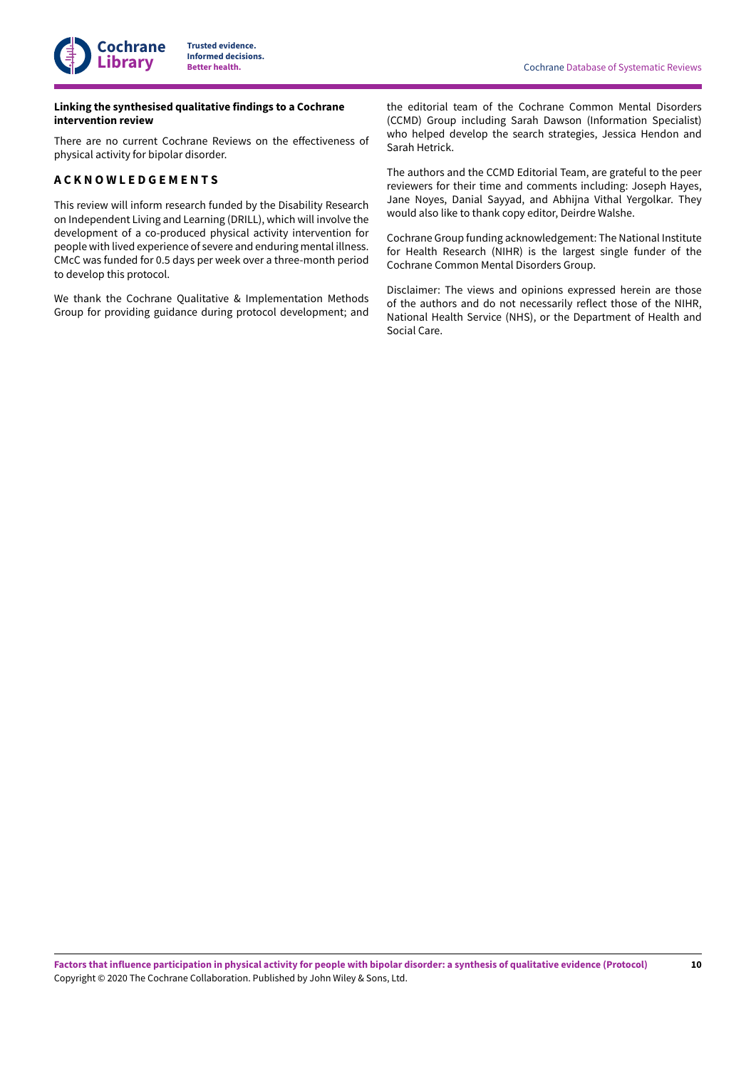## **Linking the synthesised qualitative findings to a Cochrane intervention review**

There are no current Cochrane Reviews on the effectiveness of physical activity for bipolar disorder.

# <span id="page-12-0"></span>**A C K N O W L E D G E M E N T S**

This review will inform research funded by the Disability Research on Independent Living and Learning (DRILL), which will involve the development of a co-produced physical activity intervention for people with lived experience of severe and enduring mental illness. CMcC was funded for 0.5 days per week over a three-month period to develop this protocol.

We thank the Cochrane Qualitative & Implementation Methods Group for providing guidance during protocol development; and

the editorial team of the Cochrane Common Mental Disorders (CCMD) Group including Sarah Dawson (Information Specialist) who helped develop the search strategies, Jessica Hendon and Sarah Hetrick.

The authors and the CCMD Editorial Team, are grateful to the peer reviewers for their time and comments including: Joseph Hayes, Jane Noyes, Danial Sayyad, and Abhijna Vithal Yergolkar. They would also like to thank copy editor, Deirdre Walshe.

Cochrane Group funding acknowledgement: The National Institute for Health Research (NIHR) is the largest single funder of the Cochrane Common Mental Disorders Group.

Disclaimer: The views and opinions expressed herein are those of the authors and do not necessarily reflect those of the NIHR, National Health Service (NHS), or the Department of Health and Social Care.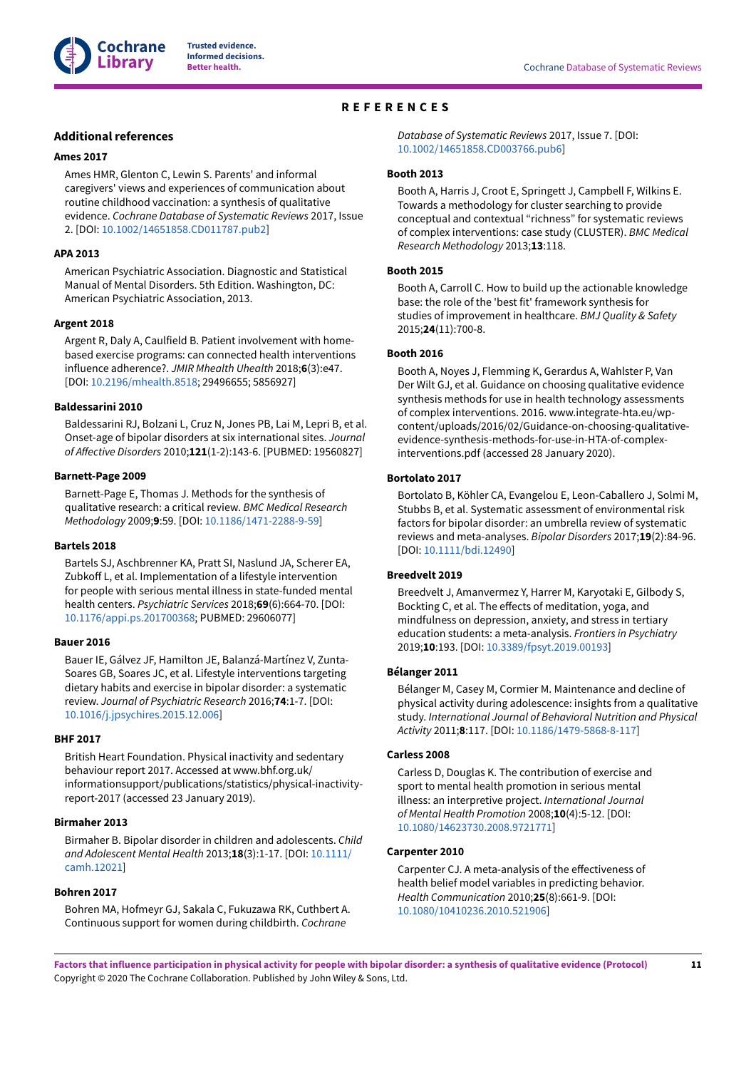

# **REFERENCES**

# <span id="page-13-0"></span>**Additional references**

#### <span id="page-13-14"></span>**Ames 2017**

Ames HMR, Glenton C, Lewin S. Parents' and informal caregivers' views and experiences of communication about routine childhood vaccination: a synthesis of qualitative evidence. *Cochrane Database of Systematic Reviews* 2017, Issue 2. [DOI: [10.1002/14651858.CD011787.pub2\]](https://doi.org/10.1002%2F14651858.CD011787.pub2)

#### <span id="page-13-12"></span>**APA 2013**

American Psychiatric Association. Diagnostic and Statistical Manual of Mental Disorders. 5th Edition. Washington, DC: American Psychiatric Association, 2013.

#### <span id="page-13-10"></span>**Argent 2018**

Argent R, Daly A, Caulfield B. Patient involvement with homebased exercise programs: can connected health interventions influence adherence?. *JMIR Mhealth Uhealth* 2018;**6**(3):e47. [DOI: [10.2196/mhealth.8518](https://doi.org/10.2196%2Fmhealth.8518); 29496655; 5856927]

#### <span id="page-13-5"></span>**Baldessarini 2010**

Baldessarini RJ, Bolzani L, Cruz N, Jones PB, Lai M, Lepri B, et al. Onset-age of bipolar disorders at six international sites. *Journal of Aective Disorders* 2010;**121**(1-2):143-6. [PUBMED: 19560827]

#### <span id="page-13-17"></span>**Barnett-Page 2009**

Barnett-Page E, Thomas J. Methods for the synthesis of qualitative research: a critical review. *BMC Medical Research Methodology* 2009;**9**:59. [DOI: [10.1186/1471-2288-9-59](https://doi.org/10.1186%2F1471-2288-9-59)]

#### <span id="page-13-8"></span>**Bartels 2018**

Bartels SJ, Aschbrenner KA, Pratt SI, Naslund JA, Scherer EA, Zubkoff L, et al. Implementation of a lifestyle intervention for people with serious mental illness in state-funded mental health centers. *Psychiatric Services* 2018;**69**(6):664-70. [DOI: [10.1176/appi.ps.201700368](https://doi.org/10.1176%2Fappi.ps.201700368); PUBMED: 29606077]

#### <span id="page-13-7"></span>**Bauer 2016**

Bauer IE, Gálvez JF, Hamilton JE, Balanzá-Martínez V, Zunta-Soares GB, Soares JC, et al. Lifestyle interventions targeting dietary habits and exercise in bipolar disorder: a systematic review. *Journal of Psychiatric Research* 2016;**74**:1-7. [DOI: [10.1016/j.jpsychires.2015.12.006\]](https://doi.org/10.1016%2Fj.jpsychires.2015.12.006)

#### <span id="page-13-1"></span>**BHF 2017**

British Heart Foundation. Physical inactivity and sedentary behaviour report 2017. Accessed at www.bhf.org.uk/ informationsupport/publications/statistics/physical-inactivityreport-2017 (accessed 23 January 2019).

#### <span id="page-13-4"></span>**Birmaher 2013**

Birmaher B. Bipolar disorder in children and adolescents. *Child and Adolescent Mental Health* 2013;**18**(3):1-17. [DOI: [10.1111/](https://doi.org/10.1111%2Fcamh.12021) [camh.12021\]](https://doi.org/10.1111%2Fcamh.12021)

# <span id="page-13-18"></span>**Bohren 2017**

Bohren MA, Hofmeyr GJ, Sakala C, Fukuzawa RK, Cuthbert A. Continuous support for women during childbirth. *Cochrane*

*Database of Systematic Reviews* 2017, Issue 7. [DOI: [10.1002/14651858.CD003766.pub6\]](https://doi.org/10.1002%2F14651858.CD003766.pub6)

#### <span id="page-13-13"></span>**Booth 2013**

Booth A, Harris J, Croot E, Springett J, Campbell F, Wilkins E. Towards a methodology for cluster searching to provide conceptual and contextual "richness" for systematic reviews of complex interventions: case study (CLUSTER). *BMC Medical Research Methodology* 2013;**13**:118.

## <span id="page-13-15"></span>**Booth 2015**

Booth A, Carroll C. How to build up the actionable knowledge base: the role of the 'best fit' framework synthesis for studies of improvement in healthcare. *BMJ Quality & Safety* 2015;**24**(11):700-8.

# <span id="page-13-16"></span>**Booth 2016**

Booth A, Noyes J, Flemming K, Gerardus A, Wahlster P, Van Der Wilt GJ, et al. Guidance on choosing qualitative evidence synthesis methods for use in health technology assessments of complex interventions. 2016. www.integrate-hta.eu/wpcontent/uploads/2016/02/Guidance-on-choosing-qualitativeevidence-synthesis-methods-for-use-in-HTA-of-complexinterventions.pdf (accessed 28 January 2020).

## <span id="page-13-6"></span>**Bortolato 2017**

Bortolato B, Köhler CA, Evangelou E, Leon-Caballero J, Solmi M, Stubbs B, et al. Systematic assessment of environmental risk factors for bipolar disorder: an umbrella review of systematic reviews and meta-analyses. *Bipolar Disorders* 2017;**19**(2):84-96. [DOI: [10.1111/bdi.12490\]](https://doi.org/10.1111%2Fbdi.12490)

# <span id="page-13-11"></span>**Breedvelt 2019**

Breedvelt J, Amanvermez Y, Harrer M, Karyotaki E, Gilbody S, Bockting C, et al. The effects of meditation, yoga, and mindfulness on depression, anxiety, and stress in tertiary education students: a meta-analysis. *Frontiers in Psychiatry* 2019;**10**:193. [DOI: [10.3389/fpsyt.2019.00193\]](https://doi.org/10.3389%2Ffpsyt.2019.00193)

#### <span id="page-13-3"></span>**Bélanger 2011**

Bélanger M, Casey M, Cormier M. Maintenance and decline of physical activity during adolescence: insights from a qualitative study. *International Journal of Behavioral Nutrition and Physical Activity* 2011;**8**:117. [DOI: [10.1186/1479-5868-8-117](https://doi.org/10.1186%2F1479-5868-8-117)]

# <span id="page-13-2"></span>**Carless 2008**

Carless D, Douglas K. The contribution of exercise and sport to mental health promotion in serious mental illness: an interpretive project. *International Journal of Mental Health Promotion* 2008;**10**(4):5-12. [DOI: [10.1080/14623730.2008.9721771\]](https://doi.org/10.1080%2F14623730.2008.9721771)

## <span id="page-13-9"></span>**Carpenter 2010**

Carpenter CJ. A meta-analysis of the effectiveness of health belief model variables in predicting behavior. *Health Communication* 2010;**25**(8):661-9. [DOI: [10.1080/10410236.2010.521906](https://doi.org/10.1080%2F10410236.2010.521906)]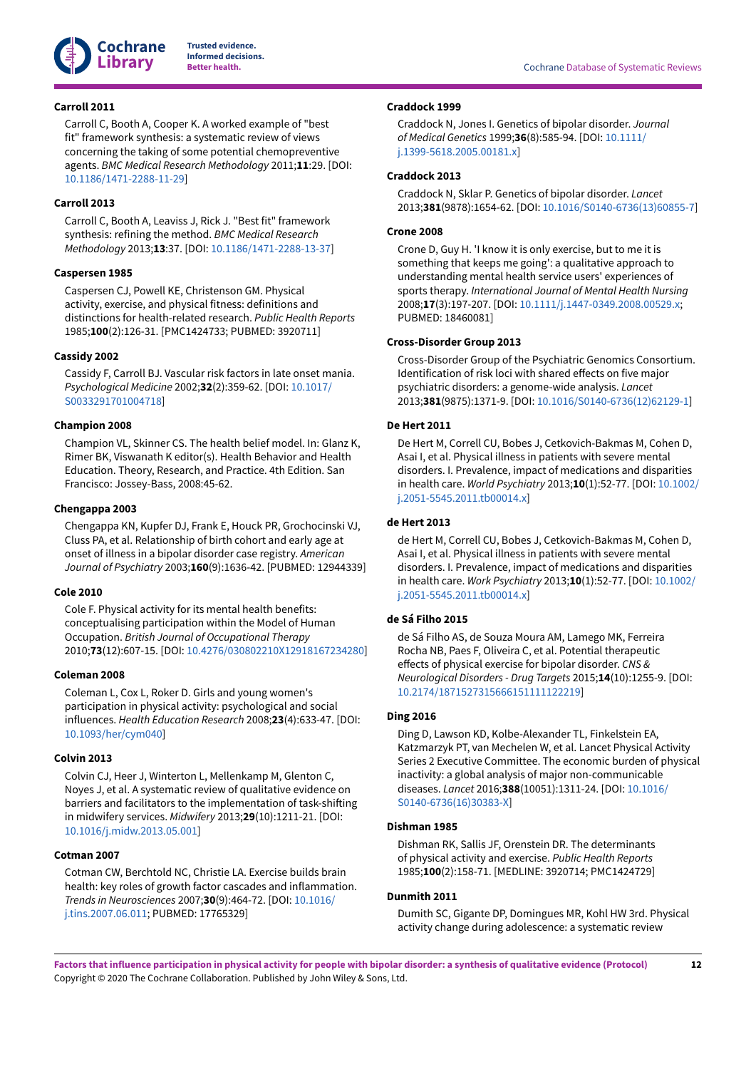

# <span id="page-14-18"></span>**Carroll 2011**

Carroll C, Booth A, Cooper K. A worked example of "best fit" framework synthesis: a systematic review of views concerning the taking of some potential chemopreventive agents. *BMC Medical Research Methodology* 2011;**11**:29. [DOI: [10.1186/1471-2288-11-29](https://doi.org/10.1186%2F1471-2288-11-29)]

# <span id="page-14-17"></span>**Carroll 2013**

Carroll C, Booth A, Leaviss J, Rick J. "Best fit" framework synthesis: refining the method. *BMC Medical Research Methodology* 2013;**13**:37. [DOI: [10.1186/1471-2288-13-37\]](https://doi.org/10.1186%2F1471-2288-13-37)

# <span id="page-14-11"></span>**Caspersen 1985**

Caspersen CJ, Powell KE, Christenson GM. Physical activity, exercise, and physical fitness: definitions and distinctions for health-related research. *Public Health Reports* 1985;**100**(2):126-31. [PMC1424733; PUBMED: 3920711]

# <span id="page-14-8"></span>**Cassidy 2002**

Cassidy F, Carroll BJ. Vascular risk factors in late onset mania. *Psychological Medicine* 2002;**32**(2):359-62. [DOI: [10.1017/](https://doi.org/10.1017%2FS0033291701004718) [S0033291701004718](https://doi.org/10.1017%2FS0033291701004718)]

# <span id="page-14-13"></span>**Champion 2008**

Champion VL, Skinner CS. The health belief model. In: Glanz K, Rimer BK, Viswanath K editor(s). Health Behavior and Health Education. Theory, Research, and Practice. 4th Edition. San Francisco: Jossey-Bass, 2008:45-62.

# <span id="page-14-7"></span>**Chengappa 2003**

Chengappa KN, Kupfer DJ, Frank E, Houck PR, Grochocinski VJ, Cluss PA, et al. Relationship of birth cohort and early age at onset of illness in a bipolar disorder case registry. *American Journal of Psychiatry* 2003;**160**(9):1636-42. [PUBMED: 12944339]

# <span id="page-14-4"></span>**Cole 2010**

Cole F. Physical activity for its mental health benefits: conceptualising participation within the Model of Human Occupation. *British Journal of Occupational Therapy* 2010;**73**(12):607-15. [DOI: [10.4276/030802210X12918167234280\]](https://doi.org/10.4276%2F030802210X12918167234280)

# <span id="page-14-6"></span>**Coleman 2008**

Coleman L, Cox L, Roker D. Girls and young women's participation in physical activity: psychological and social influences. *Health Education Research* 2008;**23**(4):633-47. [DOI: [10.1093/her/cym040\]](https://doi.org/10.1093%2Fher%2Fcym040)

# <span id="page-14-19"></span>**Colvin 2013**

Colvin CJ, Heer J, Winterton L, Mellenkamp M, Glenton C, Noyes J, et al. A systematic review of qualitative evidence on barriers and facilitators to the implementation of task-shifting in midwifery services. *Midwifery* 2013;**29**(10):1211-21. [DOI: [10.1016/j.midw.2013.05.001](https://doi.org/10.1016%2Fj.midw.2013.05.001)]

# <span id="page-14-12"></span>**Cotman 2007**

Cotman CW, Berchtold NC, Christie LA. Exercise builds brain health: key roles of growth factor cascades and inflammation. *Trends in Neurosciences* 2007;**30**(9):464-72. [DOI: [10.1016/](https://doi.org/10.1016%2Fj.tins.2007.06.011) [j.tins.2007.06.011](https://doi.org/10.1016%2Fj.tins.2007.06.011); PUBMED: 17765329]

# <span id="page-14-9"></span>**Craddock 1999**

Craddock N, Jones I. Genetics of bipolar disorder. *Journal of Medical Genetics* 1999;**36**(8):585-94. [DOI: [10.1111/](https://doi.org/10.1111%2Fj.1399-5618.2005.00181.x) [j.1399-5618.2005.00181.x](https://doi.org/10.1111%2Fj.1399-5618.2005.00181.x)]

# <span id="page-14-10"></span>**Craddock 2013**

Craddock N, Sklar P. Genetics of bipolar disorder. *Lancet* 2013;**381**(9878):1654-62. [DOI: [10.1016/S0140-6736\(13\)60855-7](https://doi.org/10.1016%2FS0140-6736%2813%2960855-7)]

# <span id="page-14-15"></span>**Crone 2008**

Crone D, Guy H. 'I know it is only exercise, but to me it is something that keeps me going': a qualitative approach to understanding mental health service users' experiences of sports therapy. *International Journal of Mental Health Nursing* 2008;**17**(3):197-207. [DOI: [10.1111/j.1447-0349.2008.00529.x;](https://doi.org/10.1111%2Fj.1447-0349.2008.00529.x) PUBMED: 18460081]

# <span id="page-14-2"></span>**Cross-Disorder Group 2013**

Cross-Disorder Group of the Psychiatric Genomics Consortium. Identification of risk loci with shared effects on five major psychiatric disorders: a genome-wide analysis. *Lancet* 2013;**381**(9875):1371-9. [DOI: [10.1016/S0140-6736\(12\)62129-1\]](https://doi.org/10.1016%2FS0140-6736%2812%2962129-1)

# <span id="page-14-1"></span>**De Hert 2011**

De Hert M, Correll CU, Bobes J, Cetkovich-Bakmas M, Cohen D, Asai I, et al. Physical illness in patients with severe mental disorders. I. Prevalence, impact of medications and disparities in health care. *World Psychiatry* 2013;**10**(1):52-77. [DOI: [10.1002/](https://doi.org/10.1002%2Fj.2051-5545.2011.tb00014.x) [j.2051-5545.2011.tb00014.x\]](https://doi.org/10.1002%2Fj.2051-5545.2011.tb00014.x)

# <span id="page-14-14"></span>**de Hert 2013**

de Hert M, Correll CU, Bobes J, Cetkovich-Bakmas M, Cohen D, Asai I, et al. Physical illness in patients with severe mental disorders. I. Prevalence, impact of medications and disparities in health care. *Work Psychiatry* 2013;**10**(1):52-77. [DOI: [10.1002/](https://doi.org/10.1002%2Fj.2051-5545.2011.tb00014.x) [j.2051-5545.2011.tb00014.x\]](https://doi.org/10.1002%2Fj.2051-5545.2011.tb00014.x)

# <span id="page-14-3"></span>**de Sá Filho 2015**

de Sá Filho AS, de Souza Moura AM, Lamego MK, Ferreira Rocha NB, Paes F, Oliveira C, et al. Potential therapeutic effects of physical exercise for bipolar disorder. *CNS & Neurological Disorders - Drug Targets* 2015;**14**(10):1255-9. [DOI: [10.2174/1871527315666151111122219](https://doi.org/10.2174%2F1871527315666151111122219)]

# <span id="page-14-0"></span>**Ding 2016**

Ding D, Lawson KD, Kolbe-Alexander TL, Finkelstein EA, Katzmarzyk PT, van Mechelen W, et al. Lancet Physical Activity Series 2 Executive Committee. The economic burden of physical inactivity: a global analysis of major non-communicable diseases. *Lancet* 2016;**388**(10051):1311-24. [DOI: [10.1016/](https://doi.org/10.1016%2FS0140-6736%2816%2930383-X) [S0140-6736\(16\)30383-X\]](https://doi.org/10.1016%2FS0140-6736%2816%2930383-X)

# <span id="page-14-16"></span>**Dishman 1985**

Dishman RK, Sallis JF, Orenstein DR. The determinants of physical activity and exercise. *Public Health Reports* 1985;**100**(2):158-71. [MEDLINE: 3920714; PMC1424729]

# <span id="page-14-5"></span>**Dunmith 2011**

Dumith SC, Gigante DP, Domingues MR, Kohl HW 3rd. Physical activity change during adolescence: a systematic review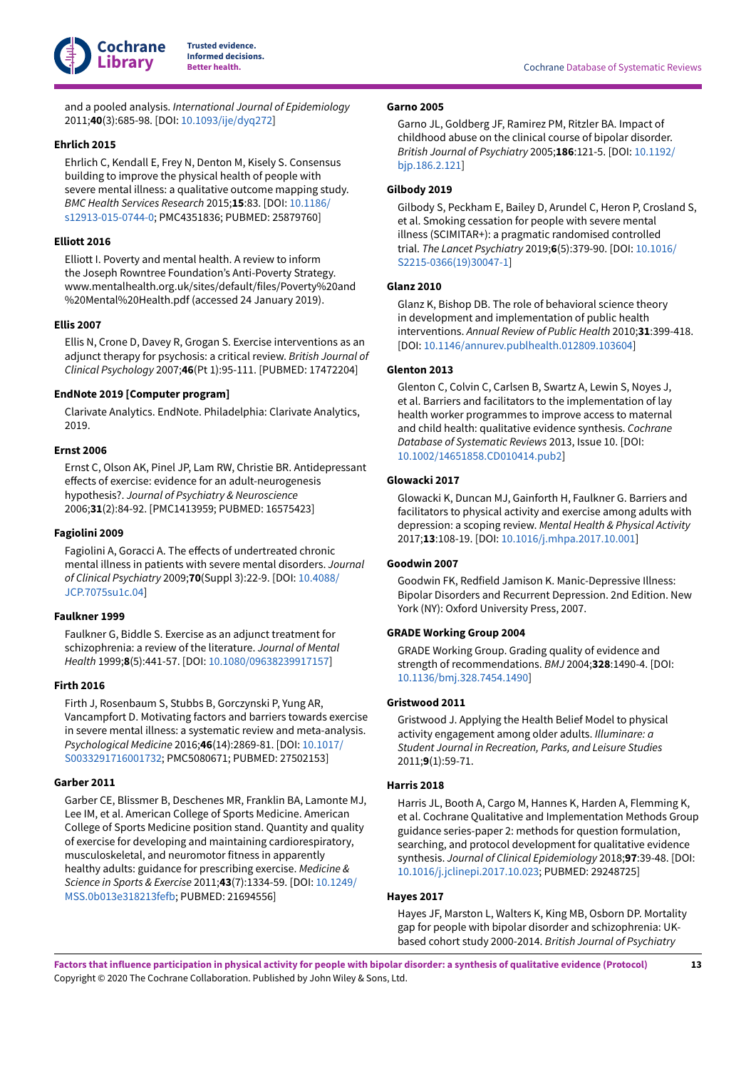

and a pooled analysis. *International Journal of Epidemiology* 2011;**40**(3):685-98. [DOI: [10.1093/ije/dyq272\]](https://doi.org/10.1093%2Fije%2Fdyq272)

## <span id="page-15-8"></span>**Ehrlich 2015**

Ehrlich C, Kendall E, Frey N, Denton M, Kisely S. Consensus building to improve the physical health of people with severe mental illness: a qualitative outcome mapping study. *BMC Health Services Research* 2015;**15**:83. [DOI: [10.1186/](https://doi.org/10.1186%2Fs12913-015-0744-0) [s12913-015-0744-0](https://doi.org/10.1186%2Fs12913-015-0744-0); PMC4351836; PUBMED: 25879760]

# <span id="page-15-0"></span>**Elliott 2016**

Elliott I. Poverty and mental health. A review to inform the Joseph Rowntree Foundation's Anti-Poverty Strategy. www.mentalhealth.org.uk/sites/default/files/Poverty%20and %20Mental%20Health.pdf (accessed 24 January 2019).

## <span id="page-15-6"></span>**Ellis 2007**

Ellis N, Crone D, Davey R, Grogan S. Exercise interventions as an adjunct therapy for psychosis: a critical review. *British Journal of Clinical Psychology* 2007;**46**(Pt 1):95-111. [PUBMED: 17472204]

#### <span id="page-15-15"></span>**EndNote 2019 [Computer program]**

Clarivate Analytics. EndNote. Philadelphia: Clarivate Analytics, 2019.

## <span id="page-15-11"></span>**Ernst 2006**

Ernst C, Olson AK, Pinel JP, Lam RW, Christie BR. Antidepressant effects of exercise: evidence for an adult-neurogenesis hypothesis?. *Journal of Psychiatry & Neuroscience* 2006;**31**(2):84-92. [PMC1413959; PUBMED: 16575423]

#### <span id="page-15-12"></span>**Fagiolini 2009**

Fagiolini A, Goracci A. The effects of undertreated chronic mental illness in patients with severe mental disorders. *Journal of Clinical Psychiatry* 2009;**70**(Suppl 3):22-9. [DOI: [10.4088/](https://doi.org/10.4088%2FJCP.7075su1c.04) [JCP.7075su1c.04](https://doi.org/10.4088%2FJCP.7075su1c.04)]

# <span id="page-15-7"></span>**Faulkner 1999**

Faulkner G, Biddle S. Exercise as an adjunct treatment for schizophrenia: a review of the literature. *Journal of Mental Health* 1999;**8**(5):441-57. [DOI: [10.1080/09638239917157](https://doi.org/10.1080%2F09638239917157)]

#### <span id="page-15-2"></span>**Firth 2016**

Firth J, Rosenbaum S, Stubbs B, Gorczynski P, Yung AR, Vancampfort D. Motivating factors and barriers towards exercise in severe mental illness: a systematic review and meta-analysis. *Psychological Medicine* 2016;**46**(14):2869-81. [DOI: [10.1017/](https://doi.org/10.1017%2FS0033291716001732) [S0033291716001732](https://doi.org/10.1017%2FS0033291716001732); PMC5080671; PUBMED: 27502153]

## <span id="page-15-5"></span>**Garber 2011**

Garber CE, Blissmer B, Deschenes MR, Franklin BA, Lamonte MJ, Lee IM, et al. American College of Sports Medicine. American College of Sports Medicine position stand. Quantity and quality of exercise for developing and maintaining cardiorespiratory, musculoskeletal, and neuromotor fitness in apparently healthy adults: guidance for prescribing exercise. *Medicine & Science in Sports & Exercise* 2011;**43**(7):1334-59. [DOI: [10.1249/](https://doi.org/10.1249%2FMSS.0b013e318213fefb) [MSS.0b013e318213fefb](https://doi.org/10.1249%2FMSS.0b013e318213fefb); PUBMED: 21694556]

#### <span id="page-15-4"></span>**Garno 2005**

Garno JL, Goldberg JF, Ramirez PM, Ritzler BA. Impact of childhood abuse on the clinical course of bipolar disorder. *British Journal of Psychiatry* 2005;**186**:121-5. [DOI: [10.1192/](https://doi.org/10.1192%2Fbjp.186.2.121) [bjp.186.2.121](https://doi.org/10.1192%2Fbjp.186.2.121)]

## <span id="page-15-13"></span>**Gilbody 2019**

Gilbody S, Peckham E, Bailey D, Arundel C, Heron P, Crosland S, et al. Smoking cessation for people with severe mental illness (SCIMITAR+): a pragmatic randomised controlled trial. *The Lancet Psychiatry* 2019;**6**(5):379-90. [DOI: [10.1016/](https://doi.org/10.1016%2FS2215-0366%2819%2930047-1) [S2215-0366\(19\)30047-1\]](https://doi.org/10.1016%2FS2215-0366%2819%2930047-1)

#### <span id="page-15-9"></span>**Glanz 2010**

Glanz K, Bishop DB. The role of behavioral science theory in development and implementation of public health interventions. *Annual Review of Public Health* 2010;**31**:399-418. [DOI: [10.1146/annurev.publhealth.012809.103604](https://doi.org/10.1146%2Fannurev.publhealth.012809.103604)]

#### <span id="page-15-16"></span>**Glenton 2013**

Glenton C, Colvin C, Carlsen B, Swartz A, Lewin S, Noyes J, et al. Barriers and facilitators to the implementation of lay health worker programmes to improve access to maternal and child health: qualitative evidence synthesis. *Cochrane Database of Systematic Reviews* 2013, Issue 10. [DOI: [10.1002/14651858.CD010414.pub2\]](https://doi.org/10.1002%2F14651858.CD010414.pub2)

#### <span id="page-15-1"></span>**Glowacki 2017**

Glowacki K, Duncan MJ, Gainforth H, Faulkner G. Barriers and facilitators to physical activity and exercise among adults with depression: a scoping review. *Mental Health & Physical Activity* 2017;**13**:108-19. [DOI: [10.1016/j.mhpa.2017.10.001](https://doi.org/10.1016%2Fj.mhpa.2017.10.001)]

## <span id="page-15-3"></span>**Goodwin 2007**

Goodwin FK, Redfield Jamison K. Manic-Depressive Illness: Bipolar Disorders and Recurrent Depression. 2nd Edition. New York (NY): Oxford University Press, 2007.

#### <span id="page-15-18"></span>**GRADE Working Group 2004**

GRADE Working Group. Grading quality of evidence and strength of recommendations. *BMJ* 2004;**328**:1490-4. [DOI: [10.1136/bmj.328.7454.1490](https://doi.org/10.1136%2Fbmj.328.7454.1490)]

#### <span id="page-15-17"></span>**Gristwood 2011**

Gristwood J. Applying the Health Belief Model to physical activity engagement among older adults. *Illuminare: a Student Journal in Recreation, Parks, and Leisure Studies* 2011;**9**(1):59-71.

## <span id="page-15-14"></span>**Harris 2018**

Harris JL, Booth A, Cargo M, Hannes K, Harden A, Flemming K, et al. Cochrane Qualitative and Implementation Methods Group guidance series-paper 2: methods for question formulation, searching, and protocol development for qualitative evidence synthesis. *Journal of Clinical Epidemiology* 2018;**97**:39-48. [DOI: [10.1016/j.jclinepi.2017.10.023;](https://doi.org/10.1016%2Fj.jclinepi.2017.10.023) PUBMED: 29248725]

## <span id="page-15-10"></span>**Hayes 2017**

Hayes JF, Marston L, Walters K, King MB, Osborn DP. Mortality gap for people with bipolar disorder and schizophrenia: UKbased cohort study 2000-2014. *British Journal of Psychiatry*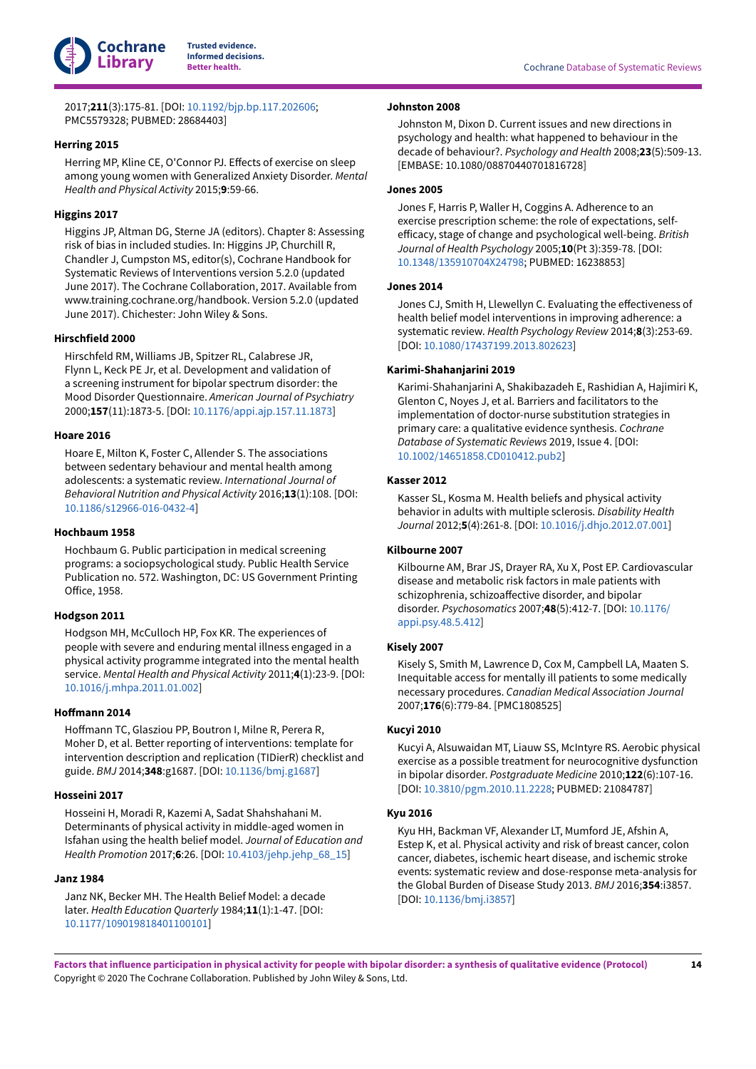

2017;**211**(3):175-81. [DOI: [10.1192/bjp.bp.117.202606;](https://doi.org/10.1192%2Fbjp.bp.117.202606) PMC5579328; PUBMED: 28684403]

## <span id="page-16-8"></span>**Herring 2015**

Herring MP, Kline CE, O'Connor PJ. Effects of exercise on sleep among young women with Generalized Anxiety Disorder. *Mental Health and Physical Activity* 2015;**9**:59-66.

# <span id="page-16-17"></span>**Higgins 2017**

Higgins JP, Altman DG, Sterne JA (editors). Chapter 8: Assessing risk of bias in included studies. In: Higgins JP, Churchill R, Chandler J, Cumpston MS, editor(s), Cochrane Handbook for Systematic Reviews of Interventions version 5.2.0 (updated June 2017). The Cochrane Collaboration, 2017. Available from www.training.cochrane.org/handbook. Version 5.2.0 (updated June 2017). Chichester: John Wiley & Sons.

## <span id="page-16-4"></span>**Hirschfield 2000**

Hirschfeld RM, Williams JB, Spitzer RL, Calabrese JR, Flynn L, Keck PE Jr, et al. Development and validation of a screening instrument for bipolar spectrum disorder: the Mood Disorder Questionnaire. *American Journal of Psychiatry* 2000;**157**(11):1873-5. [DOI: [10.1176/appi.ajp.157.11.1873\]](https://doi.org/10.1176%2Fappi.ajp.157.11.1873)

## <span id="page-16-1"></span>**Hoare 2016**

Hoare E, Milton K, Foster C, Allender S. The associations between sedentary behaviour and mental health among adolescents: a systematic review. *International Journal of Behavioral Nutrition and Physical Activity* 2016;**13**(1):108. [DOI: [10.1186/s12966-016-0432-4\]](https://doi.org/10.1186%2Fs12966-016-0432-4)

## <span id="page-16-5"></span>**Hochbaum 1958**

Hochbaum G. Public participation in medical screening programs: a sociopsychological study. Public Health Service Publication no. 572. Washington, DC: US Government Printing Office, 1958.

# <span id="page-16-3"></span>**Hodgson 2011**

Hodgson MH, McCulloch HP, Fox KR. The experiences of people with severe and enduring mental illness engaged in a physical activity programme integrated into the mental health service. *Mental Health and Physical Activity* 2011;**4**(1):23-9. [DOI: [10.1016/j.mhpa.2011.01.002](https://doi.org/10.1016%2Fj.mhpa.2011.01.002)]

# <span id="page-16-14"></span>**Ho7mann 2014**

Hoffmann TC, Glasziou PP, Boutron I, Milne R, Perera R, Moher D, et al. Better reporting of interventions: template for intervention description and replication (TIDierR) checklist and guide. *BMJ* 2014;**348**:g1687. [DOI: [10.1136/bmj.g1687\]](https://doi.org/10.1136%2Fbmj.g1687)

#### <span id="page-16-15"></span>**Hosseini 2017**

Hosseini H, Moradi R, Kazemi A, Sadat Shahshahani M. Determinants of physical activity in middle-aged women in Isfahan using the health belief model. *Journal of Education and Health Promotion* 2017;**6**:26. [DOI: [10.4103/jehp.jehp\\_68\\_15](https://doi.org/10.4103%2Fjehp.jehp_68_15)]

## <span id="page-16-10"></span>**Janz 1984**

Janz NK, Becker MH. The Health Belief Model: a decade later. *Health Education Quarterly* 1984;**11**(1):1-47. [DOI: [10.1177/109019818401100101\]](https://doi.org/10.1177%2F109019818401100101)

# <span id="page-16-9"></span>**Johnston 2008**

Johnston M, Dixon D. Current issues and new directions in psychology and health: what happened to behaviour in the decade of behaviour?. *Psychology and Health* 2008;**23**(5):509-13. [EMBASE: 10.1080/08870440701816728]

# <span id="page-16-12"></span>**Jones 2005**

Jones F, Harris P, Waller H, Coggins A. Adherence to an exercise prescription scheme: the role of expectations, selfefficacy, stage of change and psychological well-being. *British Journal of Health Psychology* 2005;**10**(Pt 3):359-78. [DOI: [10.1348/135910704X24798;](https://doi.org/10.1348%2F135910704X24798) PUBMED: 16238853]

#### <span id="page-16-6"></span>**Jones 2014**

Jones CJ, Smith H, Llewellyn C. Evaluating the effectiveness of health belief model interventions in improving adherence: a systematic review. *Health Psychology Review* 2014;**8**(3):253-69. [DOI: [10.1080/17437199.2013.802623](https://doi.org/10.1080%2F17437199.2013.802623)]

## <span id="page-16-13"></span>**Karimi-Shahanjarini 2019**

Karimi-Shahanjarini A, Shakibazadeh E, Rashidian A, Hajimiri K, Glenton C, Noyes J, et al. Barriers and facilitators to the implementation of doctor-nurse substitution strategies in primary care: a qualitative evidence synthesis. *Cochrane Database of Systematic Reviews* 2019, Issue 4. [DOI: [10.1002/14651858.CD010412.pub2\]](https://doi.org/10.1002%2F14651858.CD010412.pub2)

## <span id="page-16-16"></span>**Kasser 2012**

Kasser SL, Kosma M. Health beliefs and physical activity behavior in adults with multiple sclerosis. *Disability Health Journal* 2012;**5**(4):261-8. [DOI: [10.1016/j.dhjo.2012.07.001](https://doi.org/10.1016%2Fj.dhjo.2012.07.001)]

## <span id="page-16-2"></span>**Kilbourne 2007**

Kilbourne AM, Brar JS, Drayer RA, Xu X, Post EP. Cardiovascular disease and metabolic risk factors in male patients with schizophrenia, schizoaffective disorder, and bipolar disorder. *Psychosomatics* 2007;**48**(5):412-7. [DOI: [10.1176/](https://doi.org/10.1176%2Fappi.psy.48.5.412) [appi.psy.48.5.412](https://doi.org/10.1176%2Fappi.psy.48.5.412)]

# <span id="page-16-11"></span>**Kisely 2007**

Kisely S, Smith M, Lawrence D, Cox M, Campbell LA, Maaten S. Inequitable access for mentally ill patients to some medically necessary procedures. *Canadian Medical Association Journal* 2007;**176**(6):779-84. [PMC1808525]

#### <span id="page-16-7"></span>**Kucyi 2010**

Kucyi A, Alsuwaidan MT, Liauw SS, McIntyre RS. Aerobic physical exercise as a possible treatment for neurocognitive dysfunction in bipolar disorder. *Postgraduate Medicine* 2010;**122**(6):107-16. [DOI: [10.3810/pgm.2010.11.2228;](https://doi.org/10.3810%2Fpgm.2010.11.2228) PUBMED: 21084787]

# <span id="page-16-0"></span>**Kyu 2016**

Kyu HH, Backman VF, Alexander LT, Mumford JE, Afshin A, Estep K, et al. Physical activity and risk of breast cancer, colon cancer, diabetes, ischemic heart disease, and ischemic stroke events: systematic review and dose-response meta-analysis for the Global Burden of Disease Study 2013. *BMJ* 2016;**354**:i3857. [DOI: [10.1136/bmj.i3857](https://doi.org/10.1136%2Fbmj.i3857)]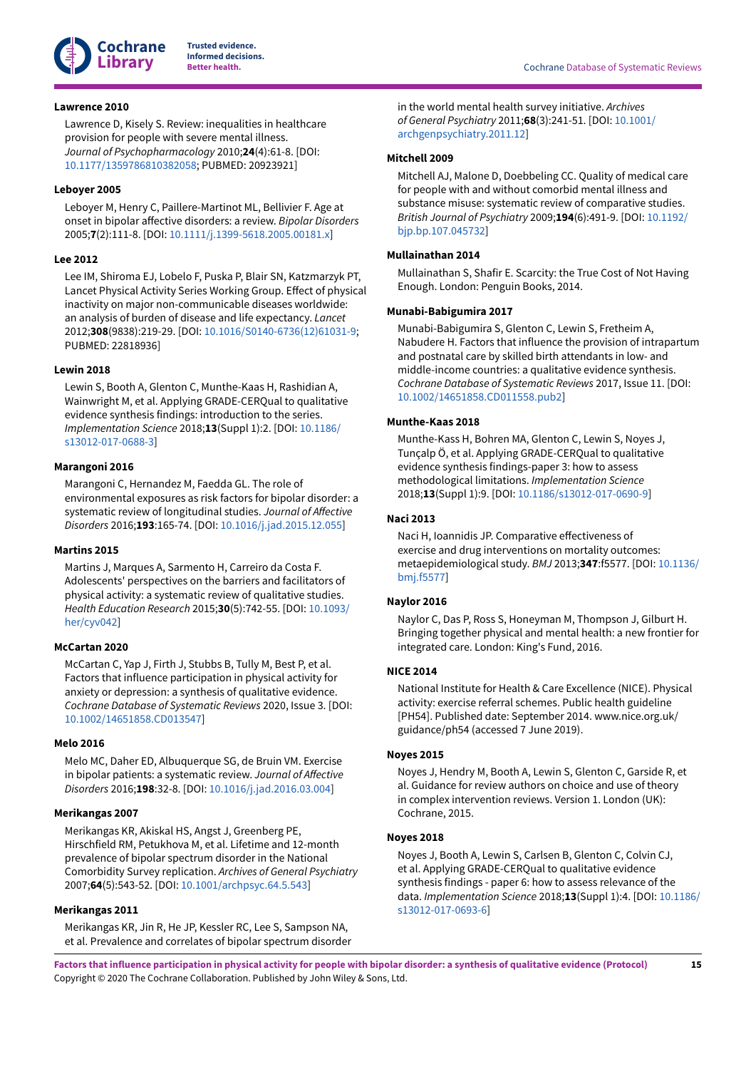

# <span id="page-17-12"></span>**Lawrence 2010**

Lawrence D, Kisely S. Review: inequalities in healthcare provision for people with severe mental illness. *Journal of Psychopharmacology* 2010;**24**(4):61-8. [DOI: [10.1177/1359786810382058;](https://doi.org/10.1177%2F1359786810382058) PUBMED: 20923921]

# <span id="page-17-6"></span>**Leboyer 2005**

Leboyer M, Henry C, Paillere-Martinot ML, Bellivier F. Age at onset in bipolar aLective disorders: a review. *Bipolar Disorders* 2005;**7**(2):111-8. [DOI: [10.1111/j.1399-5618.2005.00181.x\]](https://doi.org/10.1111%2Fj.1399-5618.2005.00181.x)

## <span id="page-17-0"></span>**Lee 2012**

Lee IM, Shiroma EJ, Lobelo F, Puska P, Blair SN, Katzmarzyk PT, Lancet Physical Activity Series Working Group. Effect of physical inactivity on major non-communicable diseases worldwide: an analysis of burden of disease and life expectancy. *Lancet* 2012;**308**(9838):219-29. [DOI: [10.1016/S0140-6736\(12\)61031-9;](https://doi.org/10.1016%2FS0140-6736%2812%2961031-9) PUBMED: 22818936]

## <span id="page-17-17"></span>**Lewin 2018**

Lewin S, Booth A, Glenton C, Munthe-Kaas H, Rashidian A, Wainwright M, et al. Applying GRADE-CERQual to qualitative evidence synthesis findings: introduction to the series. *Implementation Science* 2018;**13**(Suppl 1):2. [DOI: [10.1186/](https://doi.org/10.1186%2Fs13012-017-0688-3) [s13012-017-0688-3](https://doi.org/10.1186%2Fs13012-017-0688-3)]

# <span id="page-17-7"></span>**Marangoni 2016**

Marangoni C, Hernandez M, Faedda GL. The role of environmental exposures as risk factors for bipolar disorder: a systematic review of longitudinal studies. Journal of Affective *Disorders* 2016;**193**:165-74. [DOI: [10.1016/j.jad.2015.12.055](https://doi.org/10.1016%2Fj.jad.2015.12.055)]

#### <span id="page-17-3"></span>**Martins 2015**

Martins J, Marques A, Sarmento H, Carreiro da Costa F. Adolescents' perspectives on the barriers and facilitators of physical activity: a systematic review of qualitative studies. *Health Education Research* 2015;**30**(5):742-55. [DOI: [10.1093/](https://doi.org/10.1093%2Fher%2Fcyv042) [her/cyv042](https://doi.org/10.1093%2Fher%2Fcyv042)]

#### <span id="page-17-9"></span>**McCartan 2020**

McCartan C, Yap J, Firth J, Stubbs B, Tully M, Best P, et al. Factors that influence participation in physical activity for anxiety or depression: a synthesis of qualitative evidence. *Cochrane Database of Systematic Reviews* 2020, Issue 3. [DOI: [10.1002/14651858.CD013547\]](https://doi.org/10.1002%2F14651858.CD013547)

#### <span id="page-17-10"></span>**Melo 2016**

Melo MC, Daher ED, Albuquerque SG, de Bruin VM. Exercise in bipolar patients: a systematic review. *Journal of Affective Disorders* 2016;**198**:32-8. [DOI: [10.1016/j.jad.2016.03.004\]](https://doi.org/10.1016%2Fj.jad.2016.03.004)

## <span id="page-17-5"></span>**Merikangas 2007**

Merikangas KR, Akiskal HS, Angst J, Greenberg PE, Hirschfield RM, Petukhova M, et al. Lifetime and 12-month prevalence of bipolar spectrum disorder in the National Comorbidity Survey replication. *Archives of General Psychiatry* 2007;**64**(5):543-52. [DOI: [10.1001/archpsyc.64.5.543](https://doi.org/10.1001%2Farchpsyc.64.5.543)]

#### <span id="page-17-4"></span>**Merikangas 2011**

Merikangas KR, Jin R, He JP, Kessler RC, Lee S, Sampson NA, et al. Prevalence and correlates of bipolar spectrum disorder

in the world mental health survey initiative. *Archives of General Psychiatry* 2011;**68**(3):241-51. [DOI: [10.1001/](https://doi.org/10.1001%2Farchgenpsychiatry.2011.12) [archgenpsychiatry.2011.12\]](https://doi.org/10.1001%2Farchgenpsychiatry.2011.12)

#### <span id="page-17-11"></span>**Mitchell 2009**

Mitchell AJ, Malone D, Doebbeling CC. Quality of medical care for people with and without comorbid mental illness and substance misuse: systematic review of comparative studies. *British Journal of Psychiatry* 2009;**194**(6):491-9. [DOI: [10.1192/](https://doi.org/10.1192%2Fbjp.bp.107.045732) [bjp.bp.107.045732](https://doi.org/10.1192%2Fbjp.bp.107.045732)]

#### <span id="page-17-1"></span>**Mullainathan 2014**

Mullainathan S, Shafir E. Scarcity: the True Cost of Not Having Enough. London: Penguin Books, 2014.

## <span id="page-17-18"></span>**Munabi-Babigumira 2017**

Munabi-Babigumira S, Glenton C, Lewin S, Fretheim A, Nabudere H. Factors that influence the provision of intrapartum and postnatal care by skilled birth attendants in low- and middle-income countries: a qualitative evidence synthesis. *Cochrane Database of Systematic Reviews* 2017, Issue 11. [DOI: [10.1002/14651858.CD011558.pub2\]](https://doi.org/10.1002%2F14651858.CD011558.pub2)

## <span id="page-17-16"></span>**Munthe-Kaas 2018**

Munthe-Kass H, Bohren MA, Glenton C, Lewin S, Noyes J, Tunçalp Ö, et al. Applying GRADE-CERQual to qualitative evidence synthesis findings-paper 3: how to assess methodological limitations. *Implementation Science* 2018;**13**(Suppl 1):9. [DOI: [10.1186/s13012-017-0690-9\]](https://doi.org/10.1186%2Fs13012-017-0690-9)

#### <span id="page-17-2"></span>**Naci 2013**

Naci H, Ioannidis JP. Comparative effectiveness of exercise and drug interventions on mortality outcomes: metaepidemiological study. *BMJ* 2013;**347**:f5577. [DOI: [10.1136/](https://doi.org/10.1136%2Fbmj.f5577) [bmj.f5577\]](https://doi.org/10.1136%2Fbmj.f5577)

#### <span id="page-17-13"></span>**Naylor 2016**

Naylor C, Das P, Ross S, Honeyman M, Thompson J, Gilburt H. Bringing together physical and mental health: a new frontier for integrated care. London: King's Fund, 2016.

# <span id="page-17-8"></span>**NICE 2014**

National Institute for Health & Care Excellence (NICE). Physical activity: exercise referral schemes. Public health guideline [PH54]. Published date: September 2014. www.nice.org.uk/ guidance/ph54 (accessed 7 June 2019).

# <span id="page-17-15"></span>**Noyes 2015**

Noyes J, Hendry M, Booth A, Lewin S, Glenton C, Garside R, et al. Guidance for review authors on choice and use of theory in complex intervention reviews. Version 1. London (UK): Cochrane, 2015.

## <span id="page-17-14"></span>**Noyes 2018**

Noyes J, Booth A, Lewin S, Carlsen B, Glenton C, Colvin CJ, et al. Applying GRADE-CERQual to qualitative evidence synthesis findings - paper 6: how to assess relevance of the data. *Implementation Science* 2018;**13**(Suppl 1):4. [DOI: [10.1186/](https://doi.org/10.1186%2Fs13012-017-0693-6) [s13012-017-0693-6\]](https://doi.org/10.1186%2Fs13012-017-0693-6)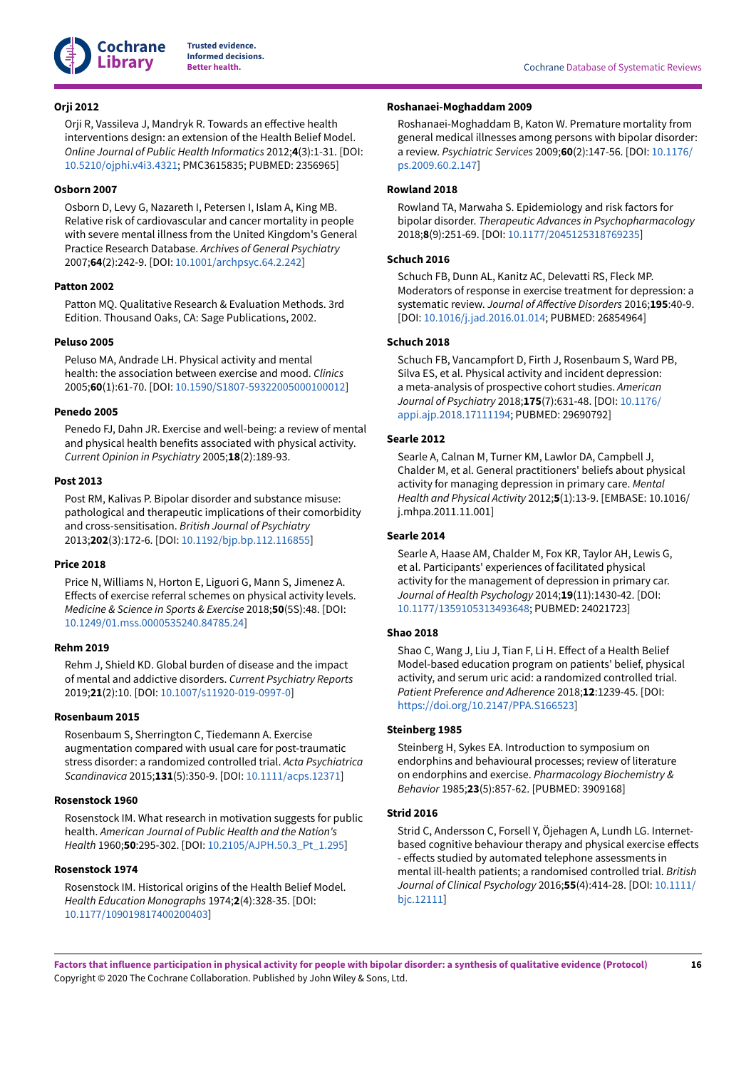

# <span id="page-18-15"></span>**Orji 2012**

Orji R, Vassileva J, Mandryk R. Towards an effective health interventions design: an extension of the Health Belief Model. *Online Journal of Public Health Informatics* 2012;**4**(3):1-31. [DOI: [10.5210/ojphi.v4i3.4321;](https://doi.org/10.5210%2Fojphi.v4i3.4321) PMC3615835; PUBMED: 2356965]

# <span id="page-18-1"></span>**Osborn 2007**

Osborn D, Levy G, Nazareth I, Petersen I, Islam A, King MB. Relative risk of cardiovascular and cancer mortality in people with severe mental illness from the United Kingdom's General Practice Research Database. *Archives of General Psychiatry* 2007;**64**(2):242-9. [DOI: [10.1001/archpsyc.64.2.242\]](https://doi.org/10.1001%2Farchpsyc.64.2.242)

# <span id="page-18-18"></span>**Patton 2002**

Patton MQ. Qualitative Research & Evaluation Methods. 3rd Edition. Thousand Oaks, CA: Sage Publications, 2002.

# <span id="page-18-8"></span>**Peluso 2005**

Peluso MA, Andrade LH. Physical activity and mental health: the association between exercise and mood. *Clinics* 2005;**60**(1):61-70. [DOI: [10.1590/S1807-59322005000100012\]](https://doi.org/10.1590%2FS1807-59322005000100012)

# <span id="page-18-7"></span>**Penedo 2005**

Penedo FJ, Dahn JR. Exercise and well-being: a review of mental and physical health benefits associated with physical activity. *Current Opinion in Psychiatry* 2005;**18**(2):189-93.

# <span id="page-18-6"></span>**Post 2013**

Post RM, Kalivas P. Bipolar disorder and substance misuse: pathological and therapeutic implications of their comorbidity and cross-sensitisation. *British Journal of Psychiatry* 2013;**202**(3):172-6. [DOI: [10.1192/bjp.bp.112.116855](https://doi.org/10.1192%2Fbjp.bp.112.116855)]

# <span id="page-18-9"></span>**Price 2018**

Price N, Williams N, Horton E, Liguori G, Mann S, Jimenez A. Effects of exercise referral schemes on physical activity levels. *Medicine & Science in Sports & Exercise* 2018;**50**(5S):48. [DOI: [10.1249/01.mss.0000535240.84785.24](https://doi.org/10.1249%2F01.mss.0000535240.84785.24)]

# <span id="page-18-5"></span>**Rehm 2019**

Rehm J, Shield KD. Global burden of disease and the impact of mental and addictive disorders. *Current Psychiatry Reports* 2019;**21**(2):10. [DOI: [10.1007/s11920-019-0997-0](https://doi.org/10.1007%2Fs11920-019-0997-0)]

# <span id="page-18-13"></span>**Rosenbaum 2015**

Rosenbaum S, Sherrington C, Tiedemann A. Exercise augmentation compared with usual care for post-traumatic stress disorder: a randomized controlled trial. *Acta Psychiatrica Scandinavica* 2015;**131**(5):350-9. [DOI: [10.1111/acps.12371](https://doi.org/10.1111%2Facps.12371)]

# <span id="page-18-10"></span>**Rosenstock 1960**

Rosenstock IM. What research in motivation suggests for public health. *American Journal of Public Health and the Nation's Health* 1960;**50**:295-302. [DOI: [10.2105/AJPH.50.3\\_Pt\\_1.295](https://doi.org/10.2105%2FAJPH.50.3_Pt_1.295)]

# <span id="page-18-11"></span>**Rosenstock 1974**

Rosenstock IM. Historical origins of the Health Belief Model. *Health Education Monographs* 1974;**2**(4):328-35. [DOI: [10.1177/109019817400200403\]](https://doi.org/10.1177%2F109019817400200403)

# <span id="page-18-2"></span>**Roshanaei-Moghaddam 2009**

Roshanaei-Moghaddam B, Katon W. Premature mortality from general medical illnesses among persons with bipolar disorder: a review. *Psychiatric Services* 2009;**60**(2):147-56. [DOI: [10.1176/](https://doi.org/10.1176%2Fps.2009.60.2.147) [ps.2009.60.2.147\]](https://doi.org/10.1176%2Fps.2009.60.2.147)

# <span id="page-18-4"></span>**Rowland 2018**

Rowland TA, Marwaha S. Epidemiology and risk factors for bipolar disorder. *Therapeutic Advances in Psychopharmacology* 2018;**8**(9):251-69. [DOI: [10.1177/2045125318769235\]](https://doi.org/10.1177%2F2045125318769235)

# <span id="page-18-3"></span>**Schuch 2016**

Schuch FB, Dunn AL, Kanitz AC, Delevatti RS, Fleck MP. Moderators of response in exercise treatment for depression: a systematic review. Journal of Affective Disorders 2016;195:40-9. [DOI: [10.1016/j.jad.2016.01.014;](https://doi.org/10.1016%2Fj.jad.2016.01.014) PUBMED: 26854964]

# <span id="page-18-0"></span>**Schuch 2018**

Schuch FB, Vancampfort D, Firth J, Rosenbaum S, Ward PB, Silva ES, et al. Physical activity and incident depression: a meta-analysis of prospective cohort studies. *American Journal of Psychiatry* 2018;**175**(7):631-48. [DOI: [10.1176/](https://doi.org/10.1176%2Fappi.ajp.2018.17111194) [appi.ajp.2018.17111194](https://doi.org/10.1176%2Fappi.ajp.2018.17111194); PUBMED: 29690792]

# <span id="page-18-16"></span>**Searle 2012**

Searle A, Calnan M, Turner KM, Lawlor DA, Campbell J, Chalder M, et al. General practitioners' beliefs about physical activity for managing depression in primary care. *Mental Health and Physical Activity* 2012;**5**(1):13-9. [EMBASE: 10.1016/ j.mhpa.2011.11.001]

# <span id="page-18-17"></span>**Searle 2014**

Searle A, Haase AM, Chalder M, Fox KR, Taylor AH, Lewis G, et al. Participants' experiences of facilitated physical activity for the management of depression in primary car. *Journal of Health Psychology* 2014;**19**(11):1430-42. [DOI: [10.1177/1359105313493648](https://doi.org/10.1177%2F1359105313493648); PUBMED: 24021723]

# <span id="page-18-19"></span>**Shao 2018**

Shao C, Wang J, Liu J, Tian F, Li H. Effect of a Health Belief Model-based education program on patients' belief, physical activity, and serum uric acid: a randomized controlled trial. *Patient Preference and Adherence* 2018;**12**:1239-45. [DOI: [https://doi.org/10.2147/PPA.S166523](https://doi.org/https%3A%2F%2Fdoi.org%2F10.2147%2FPPA.S166523)]

# <span id="page-18-12"></span>**Steinberg 1985**

Steinberg H, Sykes EA. Introduction to symposium on endorphins and behavioural processes; review of literature on endorphins and exercise. *Pharmacology Biochemistry & Behavior* 1985;**23**(5):857-62. [PUBMED: 3909168]

# <span id="page-18-14"></span>**Strid 2016**

Strid C, Andersson C, Forsell Y, Öjehagen A, Lundh LG. Internetbased cognitive behaviour therapy and physical exercise effects - effects studied by automated telephone assessments in mental ill-health patients; a randomised controlled trial. *British Journal of Clinical Psychology* 2016;**55**(4):414-28. [DOI: [10.1111/](https://doi.org/10.1111%2Fbjc.12111) [bjc.12111](https://doi.org/10.1111%2Fbjc.12111)]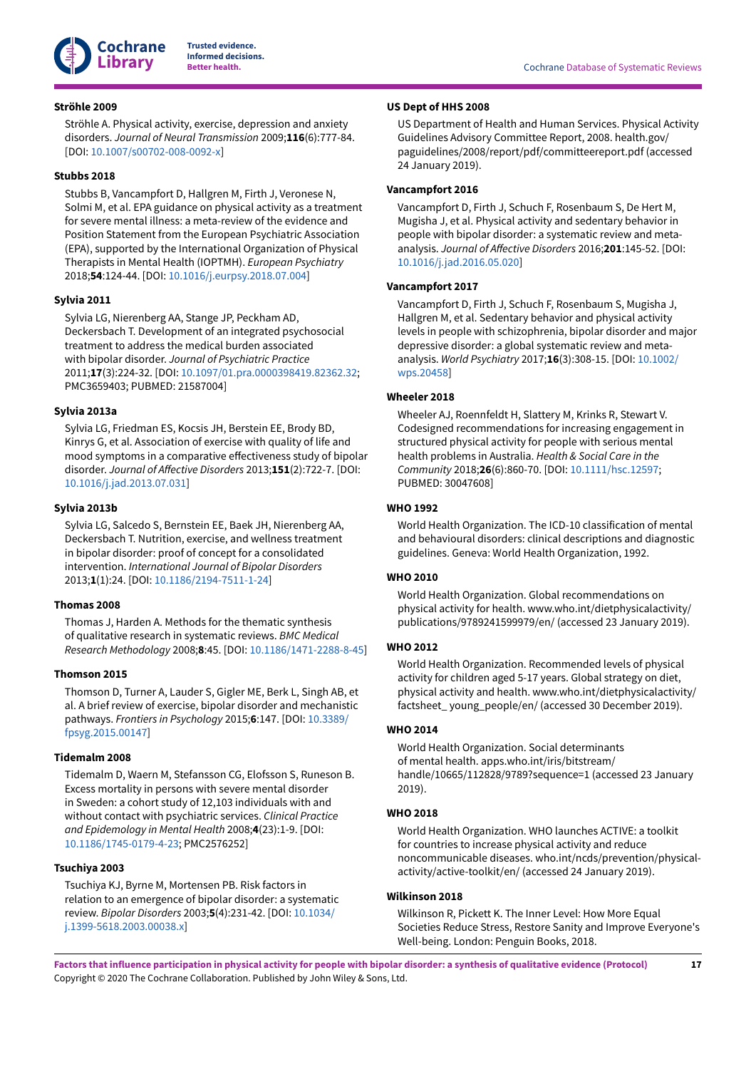

#### <span id="page-19-7"></span>**Ströhle 2009**

Ströhle A. Physical activity, exercise, depression and anxiety disorders. *Journal of Neural Transmission* 2009;**116**(6):777-84. [DOI: [10.1007/s00702-008-0092-x\]](https://doi.org/10.1007%2Fs00702-008-0092-x)

#### <span id="page-19-8"></span>**Stubbs 2018**

Stubbs B, Vancampfort D, Hallgren M, Firth J, Veronese N, Solmi M, et al. EPA guidance on physical activity as a treatment for severe mental illness: a meta-review of the evidence and Position Statement from the European Psychiatric Association (EPA), supported by the International Organization of Physical Therapists in Mental Health (IOPTMH). *European Psychiatry* 2018;**54**:124-44. [DOI: [10.1016/j.eurpsy.2018.07.004](https://doi.org/10.1016%2Fj.eurpsy.2018.07.004)]

#### <span id="page-19-4"></span>**Sylvia 2011**

Sylvia LG, Nierenberg AA, Stange JP, Peckham AD, Deckersbach T. Development of an integrated psychosocial treatment to address the medical burden associated with bipolar disorder. *Journal of Psychiatric Practice* 2011;**17**(3):224-32. [DOI: [10.1097/01.pra.0000398419.82362.32](https://doi.org/10.1097%2F01.pra.0000398419.82362.32); PMC3659403; PUBMED: 21587004]

#### <span id="page-19-14"></span>**Sylvia 2013a**

Sylvia LG, Friedman ES, Kocsis JH, Berstein EE, Brody BD, Kinrys G, et al. Association of exercise with quality of life and mood symptoms in a comparative effectiveness study of bipolar disorder. *Journal of Aective Disorders* 2013;**151**(2):722-7. [DOI: [10.1016/j.jad.2013.07.031\]](https://doi.org/10.1016%2Fj.jad.2013.07.031)

#### <span id="page-19-15"></span>**Sylvia 2013b**

Sylvia LG, Salcedo S, Bernstein EE, Baek JH, Nierenberg AA, Deckersbach T. Nutrition, exercise, and wellness treatment in bipolar disorder: proof of concept for a consolidated intervention. *International Journal of Bipolar Disorders* 2013;**1**(1):24. [DOI: [10.1186/2194-7511-1-24\]](https://doi.org/10.1186%2F2194-7511-1-24)

#### <span id="page-19-18"></span>**Thomas 2008**

Thomas J, Harden A. Methods for the thematic synthesis of qualitative research in systematic reviews. *BMC Medical Research Methodology* 2008;**8**:45. [DOI: [10.1186/1471-2288-8-45\]](https://doi.org/10.1186%2F1471-2288-8-45)

## <span id="page-19-9"></span>**Thomson 2015**

Thomson D, Turner A, Lauder S, Gigler ME, Berk L, Singh AB, et al. A brief review of exercise, bipolar disorder and mechanistic pathways. *Frontiers in Psychology* 2015;**6**:147. [DOI: [10.3389/](https://doi.org/10.3389%2Ffpsyg.2015.00147) [fpsyg.2015.00147\]](https://doi.org/10.3389%2Ffpsyg.2015.00147)

#### <span id="page-19-16"></span>**Tidemalm 2008**

Tidemalm D, Waern M, Stefansson CG, Elofsson S, Runeson B. Excess mortality in persons with severe mental disorder in Sweden: a cohort study of 12,103 individuals with and without contact with psychiatric services. *Clinical Practice and Epidemology in Mental Health* 2008;**4**(23):1-9. [DOI: [10.1186/1745-0179-4-23;](https://doi.org/10.1186%2F1745-0179-4-23) PMC2576252]

#### <span id="page-19-10"></span>**Tsuchiya 2003**

Tsuchiya KJ, Byrne M, Mortensen PB. Risk factors in relation to an emergence of bipolar disorder: a systematic review. *Bipolar Disorders* 2003;**5**(4):231-42. [DOI: [10.1034/](https://doi.org/10.1034%2Fj.1399-5618.2003.00038.x) [j.1399-5618.2003.00038.x](https://doi.org/10.1034%2Fj.1399-5618.2003.00038.x)]

# <span id="page-19-11"></span>**US Dept of HHS 2008**

US Department of Health and Human Services. Physical Activity Guidelines Advisory Committee Report, 2008. health.gov/ paguidelines/2008/report/pdf/committeereport.pdf (accessed 24 January 2019).

# <span id="page-19-2"></span>**Vancampfort 2016**

Vancampfort D, Firth J, Schuch F, Rosenbaum S, De Hert M, Mugisha J, et al. Physical activity and sedentary behavior in people with bipolar disorder: a systematic review and metaanalysis. *Journal of Aective Disorders* 2016;**201**:145-52. [DOI: [10.1016/j.jad.2016.05.020\]](https://doi.org/10.1016%2Fj.jad.2016.05.020)

#### <span id="page-19-3"></span>**Vancampfort 2017**

Vancampfort D, Firth J, Schuch F, Rosenbaum S, Mugisha J, Hallgren M, et al. Sedentary behavior and physical activity levels in people with schizophrenia, bipolar disorder and major depressive disorder: a global systematic review and metaanalysis. *World Psychiatry* 2017;**16**(3):308-15. [DOI: [10.1002/](https://doi.org/10.1002%2Fwps.20458) [wps.20458](https://doi.org/10.1002%2Fwps.20458)]

#### <span id="page-19-13"></span>**Wheeler 2018**

Wheeler AJ, Roennfeldt H, Slattery M, Krinks R, Stewart V. Codesigned recommendations for increasing engagement in structured physical activity for people with serious mental health problems in Australia. *Health & Social Care in the Community* 2018;**26**(6):860-70. [DOI: [10.1111/hsc.12597;](https://doi.org/10.1111%2Fhsc.12597) PUBMED: 30047608]

#### <span id="page-19-17"></span>**WHO 1992**

World Health Organization. The ICD-10 classification of mental and behavioural disorders: clinical descriptions and diagnostic guidelines. Geneva: World Health Organization, 1992.

# <span id="page-19-0"></span>**WHO 2010**

World Health Organization. Global recommendations on physical activity for health. www.who.int/dietphysicalactivity/ publications/9789241599979/en/ (accessed 23 January 2019).

#### <span id="page-19-1"></span>**WHO 2012**

World Health Organization. Recommended levels of physical activity for children aged 5-17 years. Global strategy on diet, physical activity and health. www.who.int/dietphysicalactivity/ factsheet\_ young\_people/en/ (accessed 30 December 2019).

## <span id="page-19-6"></span>**WHO 2014**

World Health Organization. Social determinants of mental health. apps.who.int/iris/bitstream/ handle/10665/112828/9789?sequence=1 (accessed 23 January 2019).

# <span id="page-19-12"></span>**WHO 2018**

World Health Organization. WHO launches ACTIVE: a toolkit for countries to increase physical activity and reduce noncommunicable diseases. who.int/ncds/prevention/physicalactivity/active-toolkit/en/ (accessed 24 January 2019).

## <span id="page-19-5"></span>**Wilkinson 2018**

Wilkinson R, Pickett K. The Inner Level: How More Equal Societies Reduce Stress, Restore Sanity and Improve Everyone's Well-being. London: Penguin Books, 2018.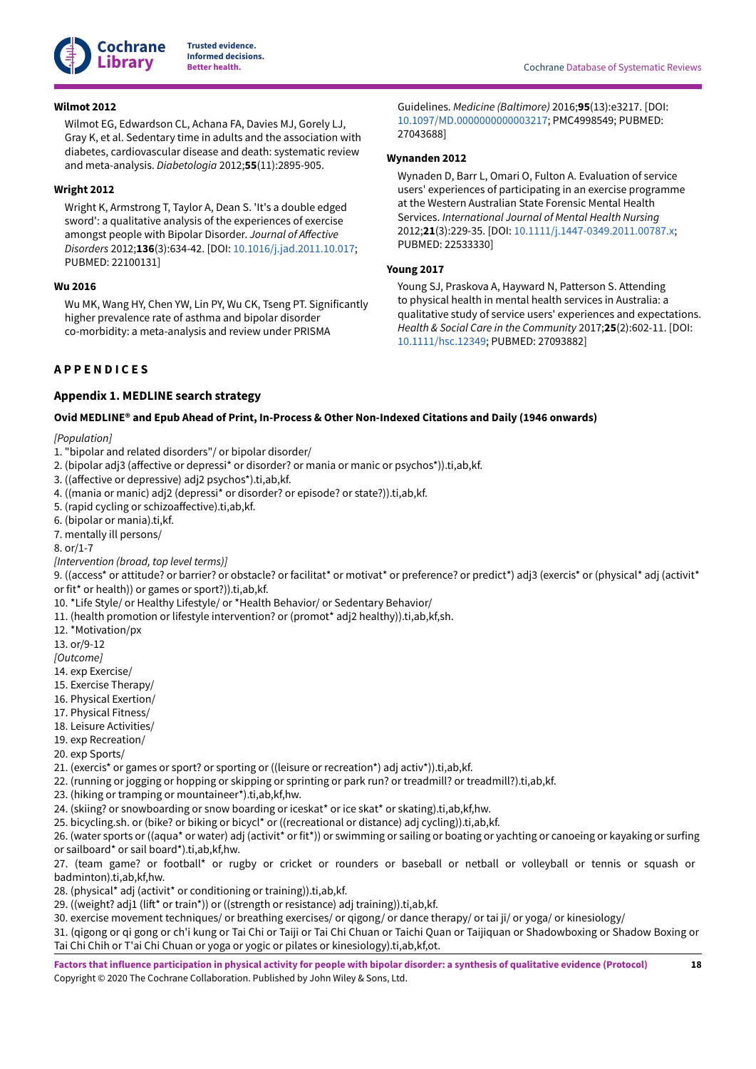

## <span id="page-20-1"></span>**Wilmot 2012**

Wilmot EG, Edwardson CL, Achana FA, Davies MJ, Gorely LJ, Gray K, et al. Sedentary time in adults and the association with diabetes, cardiovascular disease and death: systematic review and meta-analysis. *Diabetologia* 2012;**55**(11):2895-905.

# <span id="page-20-4"></span>**Wright 2012**

Wright K, Armstrong T, Taylor A, Dean S. 'It's a double edged sword': a qualitative analysis of the experiences of exercise amongst people with Bipolar Disorder. Journal of Affective *Disorders* 2012;**136**(3):634-42. [DOI: [10.1016/j.jad.2011.10.017](https://doi.org/10.1016%2Fj.jad.2011.10.017); PUBMED: 22100131]

# <span id="page-20-3"></span>**Wu 2016**

Wu MK, Wang HY, Chen YW, Lin PY, Wu CK, Tseng PT. Significantly higher prevalence rate of asthma and bipolar disorder co-morbidity: a meta-analysis and review under PRISMA

Guidelines. *Medicine (Baltimore)* 2016;**95**(13):e3217. [DOI: [10.1097/MD.0000000000003217](https://doi.org/10.1097%2FMD.0000000000003217); PMC4998549; PUBMED: 27043688]

# <span id="page-20-2"></span>**Wynanden 2012**

Wynaden D, Barr L, Omari O, Fulton A. Evaluation of service users' experiences of participating in an exercise programme at the Western Australian State Forensic Mental Health Services. *International Journal of Mental Health Nursing* 2012;**21**(3):229-35. [DOI: [10.1111/j.1447-0349.2011.00787.x](https://doi.org/10.1111%2Fj.1447-0349.2011.00787.x); PUBMED: 22533330]

# <span id="page-20-5"></span>**Young 2017**

Young SJ, Praskova A, Hayward N, Patterson S. Attending to physical health in mental health services in Australia: a qualitative study of service users' experiences and expectations. *Health & Social Care in the Community* 2017;**25**(2):602-11. [DOI: [10.1111/hsc.12349;](https://doi.org/10.1111%2Fhsc.12349) PUBMED: 27093882]

# <span id="page-20-0"></span>**A P P E N D I C E S**

# <span id="page-20-6"></span>**Appendix 1. MEDLINE search strategy**

## **Ovid MEDLINE® and Epub Ahead of Print, In-Process & Other Non-Indexed Citations and Daily (1946 onwards)**

# *[Population]*

- 1. "bipolar and related disorders"/ or bipolar disorder/
- 2. (bipolar adj3 (affective or depressi\* or disorder? or mania or manic or psychos\*)).ti,ab,kf.
- 3. ((affective or depressive) adj2 psychos\*).ti,ab,kf.
- 4. ((mania or manic) adj2 (depressi\* or disorder? or episode? or state?)).ti,ab,kf.
- 5. (rapid cycling or schizoaffective).ti,ab,kf.
- 6. (bipolar or mania).ti,kf.
- 7. mentally ill persons/

8. or/1-7

*[Intervention (broad, top level terms)]*

9. ((access\* or attitude? or barrier? or obstacle? or facilitat\* or motivat\* or preference? or predict\*) adj3 (exercis\* or (physical\* adj (activit\* or fit\* or health)) or games or sport?)).ti,ab,kf.

10. \*Life Style/ or Healthy Lifestyle/ or \*Health Behavior/ or Sedentary Behavior/

- 11. (health promotion or lifestyle intervention? or (promot\* adj2 healthy)).ti,ab,kf,sh.
- 12. \*Motivation/px
- 13. or/9-12

*[Outcome]*

- 14. exp Exercise/
- 15. Exercise Therapy/
- 16. Physical Exertion/
- 17. Physical Fitness/
- 18. Leisure Activities/
- 19. exp Recreation/
- 20. exp Sports/
- 21. (exercis\* or games or sport? or sporting or ((leisure or recreation\*) adj activ\*)).ti,ab,kf.
- 22. (running or jogging or hopping or skipping or sprinting or park run? or treadmill? or treadmill?).ti,ab,kf.
- 23. (hiking or tramping or mountaineer\*).ti,ab,kf,hw.
- 24. (skiing? or snowboarding or snow boarding or iceskat\* or ice skat\* or skating).ti,ab,kf,hw.

25. bicycling.sh. or (bike? or biking or bicycl\* or ((recreational or distance) adj cycling)).ti,ab,kf.

26. (water sports or ((aqua\* or water) adj (activit\* or fit\*)) or swimming or sailing or boating or yachting or canoeing or kayaking or surfing or sailboard\* or sail board\*).ti,ab,kf,hw.

27. (team game? or football\* or rugby or cricket or rounders or baseball or netball or volleyball or tennis or squash or badminton).ti,ab,kf,hw.

28. (physical\* adj (activit\* or conditioning or training)).ti,ab,kf.

29. ((weight? adj1 (lift\* or train\*)) or ((strength or resistance) adj training)).ti,ab,kf.

- 30. exercise movement techniques/ or breathing exercises/ or qigong/ or dance therapy/ or tai ji/ or yoga/ or kinesiology/
- 31. (qigong or qi gong or ch'i kung or Tai Chi or Taiji or Tai Chi Chuan or Taichi Quan or Taijiquan or Shadowboxing or Shadow Boxing or Tai Chi Chih or T'ai Chi Chuan or yoga or yogic or pilates or kinesiology).ti,ab,kf,ot.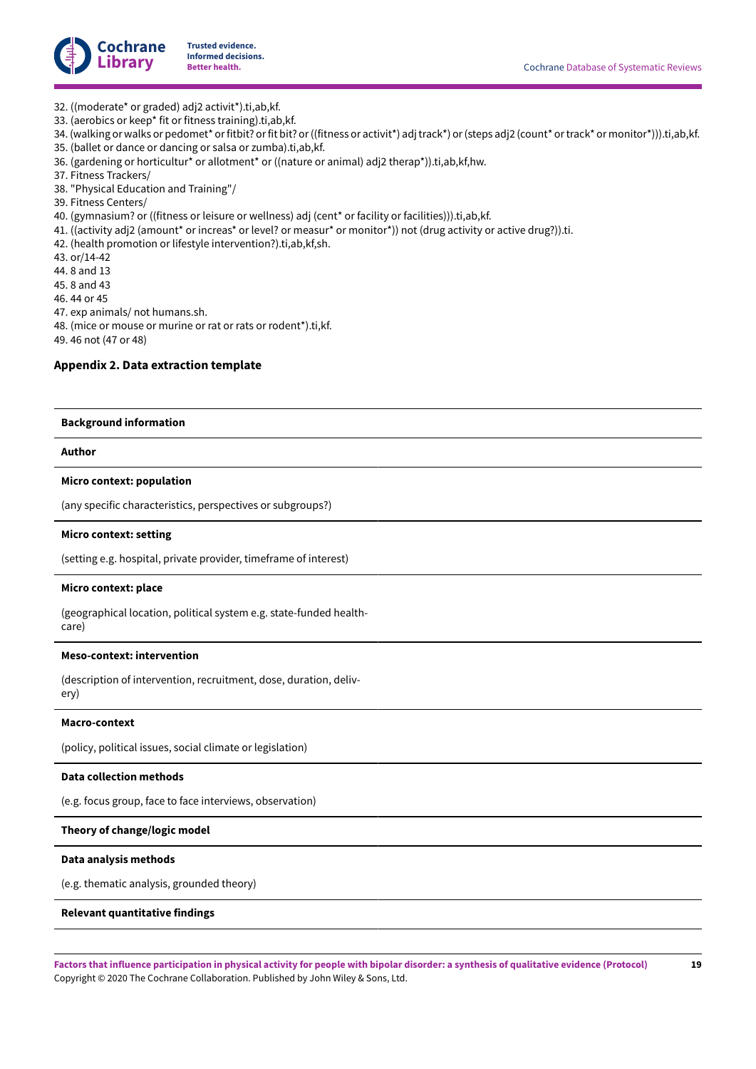

- 32. ((moderate\* or graded) adj2 activit\*).ti,ab,kf.
- 33. (aerobics or keep\* fit or fitness training).ti,ab,kf.
- 34.(walking or walks or pedomet\* orfitbit? orfit bit? or((fitness or activit\*) adjtrack\*) or(steps adj2 (count\* ortrack\* or monitor\*))).ti,ab,kf.
- 35. (ballet or dance or dancing or salsa or zumba).ti,ab,kf.
- 36. (gardening or horticultur\* or allotment\* or ((nature or animal) adj2 therap\*)).ti,ab,kf,hw.
- 37. Fitness Trackers/
- 38. "Physical Education and Training"/
- 39. Fitness Centers/
- 40. (gymnasium? or ((fitness or leisure or wellness) adj (cent\* or facility or facilities))).ti,ab,kf.
- 41. ((activity adj2 (amount\* or increas\* or level? or measur\* or monitor\*)) not (drug activity or active drug?)).ti.
- 42. (health promotion or lifestyle intervention?).ti,ab,kf,sh.
- 43. or/14-42
- 44. 8 and 13
- 45. 8 and 43
- 46. 44 or 45
- 47. exp animals/ not humans.sh.
- 48. (mice or mouse or murine or rat or rats or rodent\*).ti,kf.

49. 46 not (47 or 48)

# <span id="page-21-0"></span>**Appendix 2. Data extraction template**

#### **Background information**

# **Author**

# **Micro context: population**

(any specific characteristics, perspectives or subgroups?)

## **Micro context: setting**

(setting e.g. hospital, private provider, timeframe of interest)

## **Micro context: place**

(geographical location, political system e.g. state-funded healthcare)

#### **Meso-context: intervention**

(description of intervention, recruitment, dose, duration, delivery)

#### **Macro-context**

(policy, political issues, social climate or legislation)

## **Data collection methods**

(e.g. focus group, face to face interviews, observation)

#### **Theory of change/logic model**

#### **Data analysis methods**

(e.g. thematic analysis, grounded theory)

#### **Relevant quantitative findings**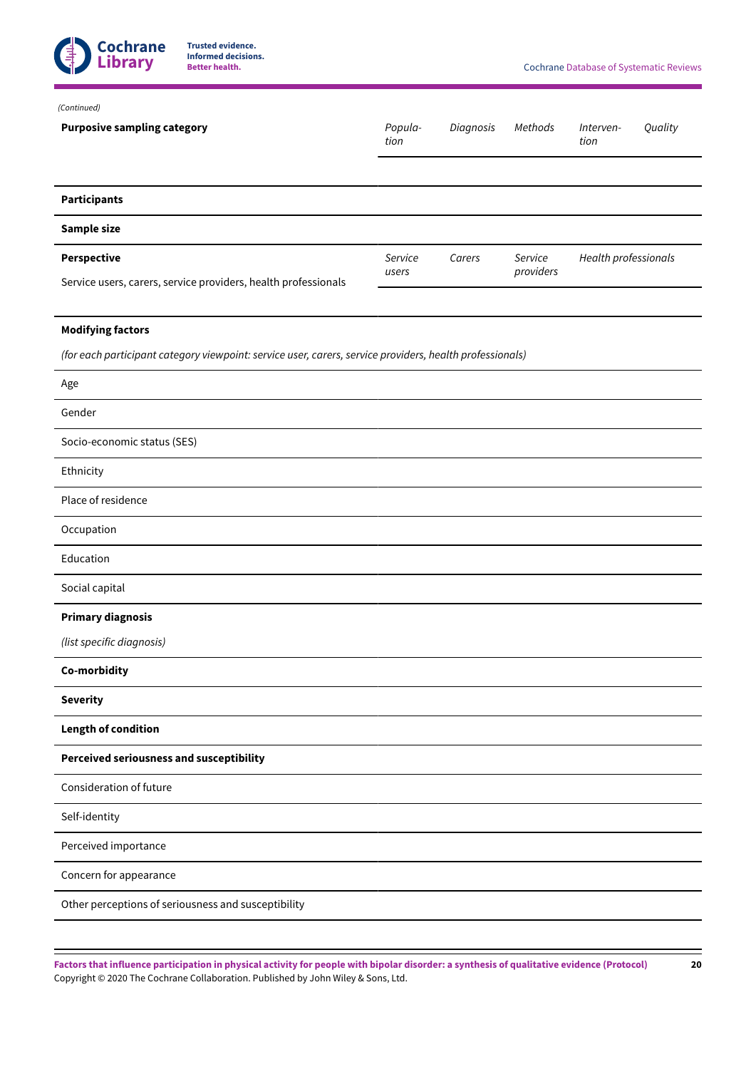

 $\equiv$ 

**Trusted evidence. Informed decisions.**

**20**

 $=$ 

| (Continued)                                                                                              |                 |           |           |                      |         |  |
|----------------------------------------------------------------------------------------------------------|-----------------|-----------|-----------|----------------------|---------|--|
| <b>Purposive sampling category</b>                                                                       | Popula-<br>tion | Diagnosis | Methods   | Interven-<br>tion    | Quality |  |
| <b>Participants</b>                                                                                      |                 |           |           |                      |         |  |
| Sample size                                                                                              |                 |           |           |                      |         |  |
| Perspective                                                                                              | Service         | Carers    | Service   | Health professionals |         |  |
| Service users, carers, service providers, health professionals                                           | users           |           | providers |                      |         |  |
| <b>Modifying factors</b>                                                                                 |                 |           |           |                      |         |  |
| (for each participant category viewpoint: service user, carers, service providers, health professionals) |                 |           |           |                      |         |  |
| Age                                                                                                      |                 |           |           |                      |         |  |
| Gender                                                                                                   |                 |           |           |                      |         |  |
| Socio-economic status (SES)                                                                              |                 |           |           |                      |         |  |
| Ethnicity                                                                                                |                 |           |           |                      |         |  |
| Place of residence                                                                                       |                 |           |           |                      |         |  |
| Occupation                                                                                               |                 |           |           |                      |         |  |
| Education                                                                                                |                 |           |           |                      |         |  |
| Social capital                                                                                           |                 |           |           |                      |         |  |
| <b>Primary diagnosis</b>                                                                                 |                 |           |           |                      |         |  |
| (list specific diagnosis)                                                                                |                 |           |           |                      |         |  |
| Co-morbidity                                                                                             |                 |           |           |                      |         |  |
| <b>Severity</b>                                                                                          |                 |           |           |                      |         |  |
| Length of condition                                                                                      |                 |           |           |                      |         |  |
| Perceived seriousness and susceptibility                                                                 |                 |           |           |                      |         |  |
| Consideration of future                                                                                  |                 |           |           |                      |         |  |
| Self-identity                                                                                            |                 |           |           |                      |         |  |
| Perceived importance                                                                                     |                 |           |           |                      |         |  |
| Concern for appearance                                                                                   |                 |           |           |                      |         |  |
| Other perceptions of seriousness and susceptibility                                                      |                 |           |           |                      |         |  |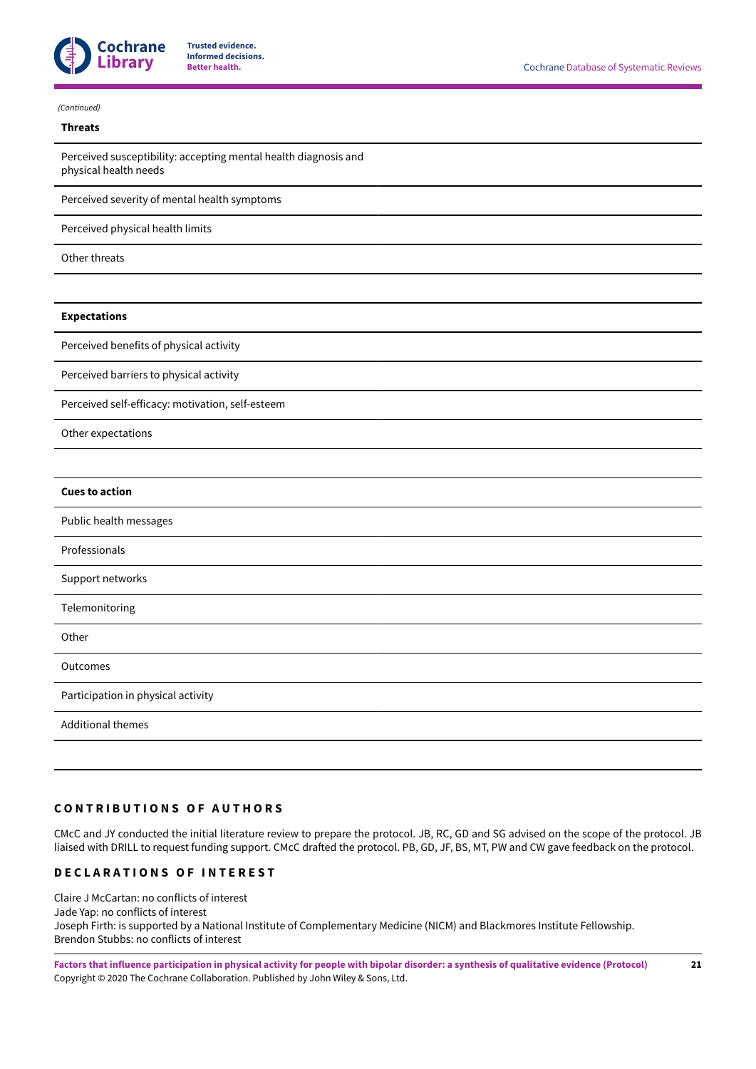

# *(Continued)*

#### **Threats**

Perceived susceptibility: accepting mental health diagnosis and physical health needs

Perceived severity of mental health symptoms

Perceived physical health limits

Other threats

**Expectations**

Perceived benefits of physical activity

Perceived barriers to physical activity

Perceived self-efficacy: motivation, self-esteem

Other expectations

| <b>Cues to action</b>              |
|------------------------------------|
| Public health messages             |
| Professionals                      |
| Support networks                   |
| Telemonitoring                     |
| Other                              |
| Outcomes                           |
| Participation in physical activity |
| Additional themes                  |
|                                    |

#### <span id="page-23-0"></span>**C O N T R I B U T I O N S O F A U T H O R S**

CMcC and JY conducted the initial literature review to prepare the protocol. JB, RC, GD and SG advised on the scope of the protocol. JB liaised with DRILL to request funding support. CMcC drafted the protocol. PB, GD, JF, BS, MT, PW and CW gave feedback on the protocol.

# <span id="page-23-1"></span>**D E C L A R A T I O N S O F I N T E R E S T**

Claire J McCartan: no conflicts of interest Jade Yap: no conflicts of interest Joseph Firth: is supported by a National Institute of Complementary Medicine (NICM) and Blackmores Institute Fellowship. Brendon Stubbs: no conflicts of interest